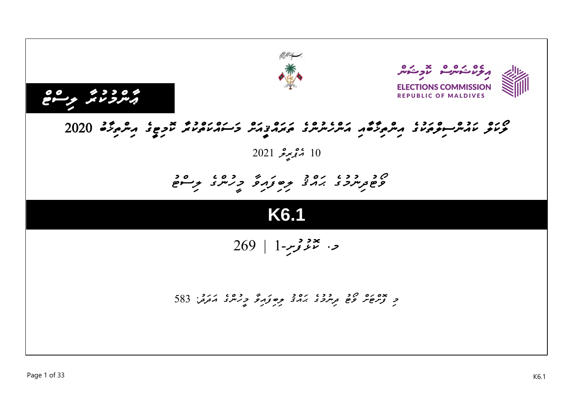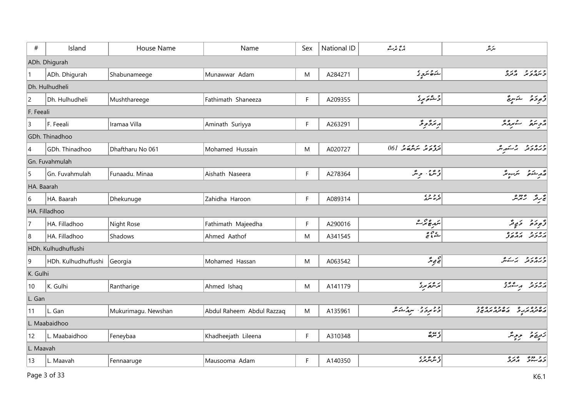| #              | Island              | House Name          | Name                      | Sex       | National ID | ، ه ، پر <u>م</u>                                                     | ىئرىتر                                                                                                                                                         |
|----------------|---------------------|---------------------|---------------------------|-----------|-------------|-----------------------------------------------------------------------|----------------------------------------------------------------------------------------------------------------------------------------------------------------|
|                | ADh. Dhigurah       |                     |                           |           |             |                                                                       |                                                                                                                                                                |
|                | ADh. Dhigurah       | Shabunameege        | Munawwar Adam             | ${\sf M}$ | A284271     | ے کے سر <sub>حی</sub> کی                                              | و ره رو د بوره<br>تر سمدوس اړتون                                                                                                                               |
|                | Dh. Hulhudheli      |                     |                           |           |             |                                                                       |                                                                                                                                                                |
| 2              | Dh. Hulhudheli      | Mushthareege        | Fathimath Shaneeza        | F.        | A209355     | ر مشر د مړينې<br>مرغوب مړينې                                          | رُّمُودَةُ شَسِيَّ                                                                                                                                             |
| F. Feeali      |                     |                     |                           |           |             |                                                                       |                                                                                                                                                                |
| 3              | F. Feeali           | Iramaa Villa        | Aminath Suriyya           | F         | A263291     | وبمرقر وقحر                                                           | הכתב התהת                                                                                                                                                      |
|                | GDh. Thinadhoo      |                     |                           |           |             |                                                                       |                                                                                                                                                                |
| $\overline{4}$ | GDh. Thinadhoo      | Dhaftharu No 061    | Mohamed Hussain           | ${\sf M}$ | A020727     | رەر ئەرەپ 160                                                         | ورەرو برخىرىگ                                                                                                                                                  |
|                | Gn. Fuvahmulah      |                     |                           |           |             |                                                                       |                                                                                                                                                                |
| 5              | Gn. Fuvahmulah      | Funaadu. Minaa      | Aishath Naseera           | F         | A278364     | زیندی، جانگه                                                          | مەر شەق سىسبىر                                                                                                                                                 |
| HA. Baarah     |                     |                     |                           |           |             |                                                                       |                                                                                                                                                                |
| $\vert 6$      | HA. Baarah          | Dhekunuge           | Zahidha Haroon            | F         | A089314     | ے ج ج ے<br>تور مسری                                                   | يجرير مجمعر                                                                                                                                                    |
|                | HA. Filladhoo       |                     |                           |           |             |                                                                       |                                                                                                                                                                |
| 17             | HA. Filladhoo       | Night Rose          | Fathimath Majeedha        | F         | A290016     | يئد ۾ عمر ٿ                                                           | وَّجْعِدَهُ وَمَعِنَّزٌ                                                                                                                                        |
| 8              | HA. Filladhoo       | Shadows             | Ahmed Aathof              | M         | A341545     | $\begin{array}{c} \circ \mathcal{C} \\ \circ \circ \circ \end{array}$ | נסגר גסגם<br>הגבע ההפצ                                                                                                                                         |
|                | HDh. Kulhudhuffushi |                     |                           |           |             |                                                                       |                                                                                                                                                                |
| 9              | HDh. Kulhudhuffushi | Georgia             | Mohamed Hassan            | M         | A063542     | صحيحة<br>  صحيحة                                                      | ورەرو برىيە                                                                                                                                                    |
| K. Gulhi       |                     |                     |                           |           |             |                                                                       |                                                                                                                                                                |
| $ 10\rangle$   | K. Gulhi            | Rantharige          | Ahmed Ishaq               | M         | A141179     | ىر ھ <sub>ە</sub> ئەرى                                                | رەرو مەمۇر                                                                                                                                                     |
| L. Gan         |                     |                     |                           |           |             |                                                                       |                                                                                                                                                                |
| 11             | L. Gan              | Mukurimagu. Newshan | Abdul Raheem Abdul Razzaq | ${\sf M}$ | A135961     | دور دو.<br>  د <i>ما بردی</i> سرم شوش                                 | נים בינים נים בינים בידים בידים בידים בידים בידים בידים בידים בידים בידים בידים בידים בידים בידים בידים בידים<br>המשיבות בידים בידים המשיבות בידום בידים בידים |
|                | L. Maabaidhoo       |                     |                           |           |             |                                                                       |                                                                                                                                                                |
| 12             | L. Maabaidhoo       | Feneybaa            | Khadheejath Lileena       | F         | A310348     | ی یرو<br>تو سر <del>ت</del>                                           | زَمرِيَمْ وَوِيثَر                                                                                                                                             |
| L. Maavah      |                     |                     |                           |           |             |                                                                       |                                                                                                                                                                |
| $ 13\rangle$   | L. Maavah           | Fennaaruge          | Mausooma Adam             | F         | A140350     | ه و و د ه<br>و مرمتربر د                                              | ر د دو.<br>وه سوگ<br>پور ہ<br>مرتزو                                                                                                                            |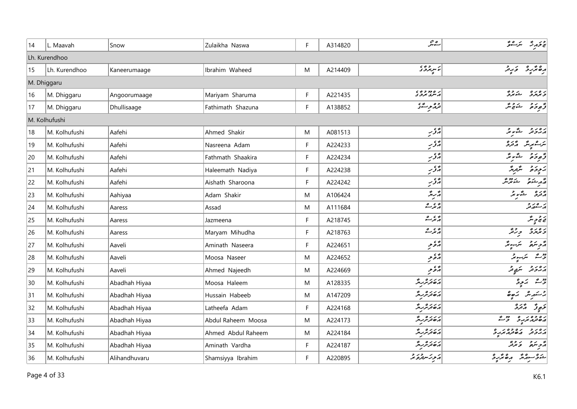| 14           | L. Maavah     | Snow          | Zulaikha Naswa     | F           | A314820 | سەيىر                                | ج تحریر شخص سرک عرض                                                                                                                                     |
|--------------|---------------|---------------|--------------------|-------------|---------|--------------------------------------|---------------------------------------------------------------------------------------------------------------------------------------------------------|
|              | Lh. Kurendhoo |               |                    |             |         |                                      |                                                                                                                                                         |
| 15           | Lh. Kurendhoo | Kaneerumaage  | Ibrahim Waheed     | ${\sf M}$   | A214409 | ئەسپرىژىچ                            | رەنزىر ئەيتر                                                                                                                                            |
|              | M. Dhiggaru   |               |                    |             |         |                                      |                                                                                                                                                         |
| 16           | M. Dhiggaru   | Angoorumaage  | Mariyam Sharuma    | $\mathsf F$ | A221435 | ر ۵ دو و پر د<br>۱رسری مورمی         | ر ه ر ه<br><del>و</del> بربرو<br>شە تەرى                                                                                                                |
| 17           | M. Dhiggaru   | Dhullisaage   | Fathimath Shazuna  | F           | A138852 | وه <sub>مر</sub> ید ،                | قرجوحرة الشواجع                                                                                                                                         |
|              | M. Kolhufushi |               |                    |             |         |                                      |                                                                                                                                                         |
| 18           | M. Kolhufushi | Aafehi        | Ahmed Shakir       | ${\sf M}$   | A081513 | لمجتوسه                              | أرور والمحمومة                                                                                                                                          |
| $ 19\rangle$ | M. Kolhufushi | Aafehi        | Nasreena Adam      | F           | A224233 | پژویر                                |                                                                                                                                                         |
| 20           | M. Kolhufushi | Aafehi        | Fathmath Shaakira  | $\mathsf F$ | A224234 | پروس                                 |                                                                                                                                                         |
| 21           | M. Kolhufushi | Aafehi        | Haleemath Nadiya   | F           | A224238 | پژوبر                                | $\frac{1}{2}$<br>سَّوبرمَّرَ                                                                                                                            |
| 22           | M. Kolhufushi | Aafehi        | Aishath Sharoona   | F           | A224242 | و و<br>مروب                          | ر دون<br>سنونترنتر<br>د د شو د "                                                                                                                        |
| 23           | M. Kolhufushi | Aahiyaa       | Adam Shakir        | M           | A106424 | پر برگر                              | وره ځېږ                                                                                                                                                 |
| 24           | M. Kolhufushi | Aaress        | Assad              | M           | A111684 | دىمە                                 | بر 2 پر د                                                                                                                                               |
| 25           | M. Kolhufushi | Aaress        | Jazmeena           | F           | A218745 | ېژ ټر مه                             | ئەنچ چە ئىگر                                                                                                                                            |
| 26           | M. Kolhufushi | Aaress        | Maryam Mihudha     | F           | A218763 | لٹر تیر ہے                           | و ورو ورقر                                                                                                                                              |
| 27           | M. Kolhufushi | Aaveli        | Aminath Naseera    | F           | A224651 | لمحتفو                               | أأدوبتكم الترسوم                                                                                                                                        |
| 28           | M. Kolhufushi | Aaveli        | Moosa Naseer       | M           | A224652 | پژځ مخه                              | $\begin{array}{cc} \hline \begin{array}{cc} \mathcal{L} & \mathcal{L} & \mathcal{D} \\ \mathcal{L} & \mathcal{L} & \mathcal{L} \end{array} \end{array}$ |
| 29           | M. Kolhufushi | Aaveli        | Ahmed Najeedh      | M           | A224669 | لمحرمو                               | رەر ئىرىم                                                                                                                                               |
| 30           | M. Kolhufushi | Abadhah Hiyaa | Moosa Haleem       | M           | A128335 | بر بر بر ه<br>م <i>ه فر</i> ىرىدگر   | در برده                                                                                                                                                 |
| 31           | M. Kolhufushi | Abadhah Hiyaa | Hussain Habeeb     | M           | A147209 | ر ر ر ه<br>مەمرىر بىر                | جر سکر مگر مگر جدیدها                                                                                                                                   |
| 32           | M. Kolhufushi | Abadhah Hiyaa | Latheefa Adam      | F           | A224168 | ر ر ر ه<br>م <i>ه فرمر</i> بر        | تزەر ئەرە                                                                                                                                               |
| 33           | M. Kolhufushi | Abadhah Hiyaa | Abdul Raheem Moosa | M           | A224173 | رے تر عر پڑ                          | גם כם גם נכילי                                                                                                                                          |
| 34           | M. Kolhufushi | Abadhah Hiyaa | Ahmed Abdul Raheem | M           | A224184 | ر ر ر ه ر پژ<br>م <i>رگ تر در</i> بر | גפגר גפרסגם                                                                                                                                             |
| 35           | M. Kolhufushi | Abadhah Hiyaa | Aminath Vardha     | F.          | A224187 | پر نه پر دیگر                        | ړ ده په ده ده                                                                                                                                           |
| 36           | M. Kolhufushi | Alihandhuvaru | Shamsiyya Ibrahim  | F           | A220895 | مَعِرَ سَعِدْهَ مَرْ                 | شكو سهرش مرەممرىر                                                                                                                                       |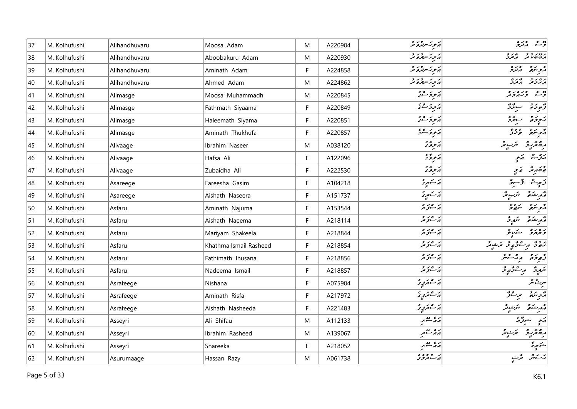| 37 | M. Kolhufushi | Alihandhuvaru | Moosa Adam             | M           | A220904 | مزمر سر مرکز مر             | پور ہ<br>مرکز ژ<br>ادو مئے                                                                                                                                                                                                                                                                                                                                                                                                                                                                                                                                                |
|----|---------------|---------------|------------------------|-------------|---------|-----------------------------|---------------------------------------------------------------------------------------------------------------------------------------------------------------------------------------------------------------------------------------------------------------------------------------------------------------------------------------------------------------------------------------------------------------------------------------------------------------------------------------------------------------------------------------------------------------------------|
| 38 | M. Kolhufushi | Alihandhuvaru | Aboobakuru Adam        | M           | A220930 | پر بر سرچر چر               | נ בנגב<br>גם סיטיב<br>پور ہ<br>مرکز ژ                                                                                                                                                                                                                                                                                                                                                                                                                                                                                                                                     |
| 39 | M. Kolhufushi | Alihandhuvaru | Aminath Adam           | F.          | A224858 | ىز برىز سر <i>ەزى ت</i> ر   | أثرمر معر<br>ەرگەر                                                                                                                                                                                                                                                                                                                                                                                                                                                                                                                                                        |
| 40 | M. Kolhufushi | Alihandhuvaru | Ahmed Adam             | M           | A224862 | مزمر سروری تر               | גם גב בגם<br>הגבת הבנב                                                                                                                                                                                                                                                                                                                                                                                                                                                                                                                                                    |
| 41 | M. Kolhufushi | Alimasge      | Moosa Muhammadh        | M           | A220845 | أتمعر حدعي                  | و ره ر و<br><i>و پر</i> و تر<br>دو مشر<br>حراکته                                                                                                                                                                                                                                                                                                                                                                                                                                                                                                                          |
| 42 | M. Kolhufushi | Alimasge      | Fathmath Siyaama       | F.          | A220849 | لأمرخ سفو                   | وٌ و دو مسترد                                                                                                                                                                                                                                                                                                                                                                                                                                                                                                                                                             |
| 43 | M. Kolhufushi | Alimasge      | Haleemath Siyama       | F.          | A220851 | وكمروث ومح                  | سوپر<br>برموخره                                                                                                                                                                                                                                                                                                                                                                                                                                                                                                                                                           |
| 44 | M. Kolhufushi | Alimasge      | Aminath Thukhufa       | F           | A220857 | ړ پرځ ش <sub>و</sub> ءِ     | ړ ده ده ده ورو                                                                                                                                                                                                                                                                                                                                                                                                                                                                                                                                                            |
| 45 | M. Kolhufushi | Alivaage      | Ibrahim Naseer         | M           | A038120 | پەنوچ                       |                                                                                                                                                                                                                                                                                                                                                                                                                                                                                                                                                                           |
| 46 | M. Kolhufushi | Alivaage      | Hafsa Ali              | F.          | A122096 | پەنوچ                       | بروبة<br>رځمنو                                                                                                                                                                                                                                                                                                                                                                                                                                                                                                                                                            |
| 47 | M. Kolhufushi | Alivaage      | Zubaidha Ali           | F           | A222530 | أتروعه                      | حرم مر<br>محمد مر<br>رځمنو                                                                                                                                                                                                                                                                                                                                                                                                                                                                                                                                                |
| 48 | M. Kolhufushi | Asareege      | Fareesha Gasim         | F.          | A104218 | ىز سەئىرى <sup>ي</sup><br>ئ | سچ سور<br>ر<br>ترىپەشگە                                                                                                                                                                                                                                                                                                                                                                                                                                                                                                                                                   |
| 49 | M. Kolhufushi | Asareege      | Aishath Naseera        | F.          | A151737 | ېز سه پېړۍ<br>په            | و المر السياسية المركز المركز المركز المركز المركز المركز المركز المركز المركز المركز المركز المركز المركز الم<br>المركز المركز المركز المركز المركز المركز المركز المركز المركز المركز المركز المركز المركز المركز المركز المرك                                                                                                                                                                                                                                                                                                                                          |
| 50 | M. Kolhufushi | Asfaru        | Aminath Najuma         | F.          | A153544 | ېر شوتر بر                  | أأدرج أروم                                                                                                                                                                                                                                                                                                                                                                                                                                                                                                                                                                |
| 51 | M. Kolhufushi | Asfaru        | Aishath Naeema         | F           | A218114 | ىر ھۆتە<br>مەسىرى           | أمار ينكو أمام المتباريخ                                                                                                                                                                                                                                                                                                                                                                                                                                                                                                                                                  |
| 52 | M. Kolhufushi | Asfaru        | Mariyam Shakeela       | F           | A218844 | ېر شو تر چه                 | ر ه ر ه<br><del>و</del> بربرو<br>ے کیا تھ<br>مقام                                                                                                                                                                                                                                                                                                                                                                                                                                                                                                                         |
| 53 | M. Kolhufushi | Asfaru        | Khathma Ismail Rasheed | $\mathsf F$ | A218854 | ىر ھۇ ئە                    | روو رے و و عربور                                                                                                                                                                                                                                                                                                                                                                                                                                                                                                                                                          |
| 54 | M. Kolhufushi | Asfaru        | Fathimath Ihusana      | F           | A218856 | ىر ھۇنجە                    | توجوج مدعش                                                                                                                                                                                                                                                                                                                                                                                                                                                                                                                                                                |
| 55 | M. Kolhufushi | Asfaru        | Nadeema Ismail         | F.          | A218857 | ىر ھۇنجە                    | ىئەرچە<br>سىر<br>برے پچ پر و                                                                                                                                                                                                                                                                                                                                                                                                                                                                                                                                              |
| 56 | M. Kolhufushi | Asrafeege     | Nishana                | F.          | A075904 | ىر شەنىرى <sub>ر</sub> ،    | سرىشەتگر                                                                                                                                                                                                                                                                                                                                                                                                                                                                                                                                                                  |
| 57 | M. Kolhufushi | Asrafeege     | Aminath Risfa          | F.          | A217972 | ر 2 سر پر پر<br>مرگ         | أأردتهم<br>ېرت<br>په سونو                                                                                                                                                                                                                                                                                                                                                                                                                                                                                                                                                 |
| 58 | M. Kolhufushi | Asrafeege     | Aishath Nasheeda       | F           | A221483 | ىر ھ <sub>ى</sub> جەرى ئ    |                                                                                                                                                                                                                                                                                                                                                                                                                                                                                                                                                                           |
| 59 | M. Kolhufushi | Asseyri       | Ali Shifau             | M           | A112133 | بره مي<br>مرکز مسلمبر       | $\begin{array}{cc} \overline{\phantom{a}} & \phantom{\overline{a}} & \phantom{\overline{a}} & \phantom{\overline{a}} & \phantom{\overline{a}} & \phantom{\overline{a}} & \phantom{\overline{a}} & \phantom{\overline{a}} & \phantom{\overline{a}} & \phantom{\overline{a}} & \phantom{\overline{a}} & \phantom{\overline{a}} & \phantom{\overline{a}} & \phantom{\overline{a}} & \phantom{\overline{a}} & \phantom{\overline{a}} & \phantom{\overline{a}} & \phantom{\overline{a}} & \phantom{\overline{a}} & \phantom{\overline{a}} & \phantom{\overline{a}} & \phantom$ |
| 60 | M. Kolhufushi | Asseyri       | Ibrahim Rasheed        | M           | A139067 | اړه چيم                     | ىر شەقر                                                                                                                                                                                                                                                                                                                                                                                                                                                                                                                                                                   |
| 61 | M. Kolhufushi | Asseyri       | Shareeka               | $\mathsf F$ | A218052 | لئەۋسىمبر                   | $\begin{array}{c}\n0 \\ 0 \\ 3 \\ -7 \\ -7 \\ -7 \\ -7 \\ -7 \\ -7 \\ -7 \\ -7\n\end{array}$                                                                                                                                                                                                                                                                                                                                                                                                                                                                              |
| 62 | M. Kolhufushi | Asurumaage    | Hassan Razy            | M           | A061738 | ورووه                       | ر<br>رسكس الدكت                                                                                                                                                                                                                                                                                                                                                                                                                                                                                                                                                           |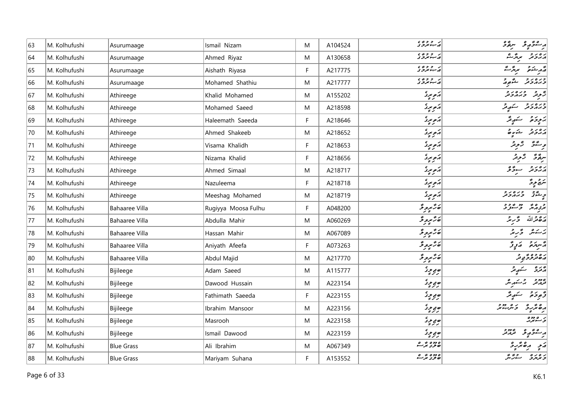| 63 | M. Kolhufushi | Asurumaage            | Ismail Nizam        | M         | A104524 | ر و و » د<br>پرسونور    | و سو په ده سرچه                           |
|----|---------------|-----------------------|---------------------|-----------|---------|-------------------------|-------------------------------------------|
| 64 | M. Kolhufushi | Asurumaage            | Ahmed Riyaz         | ${\sf M}$ | A130658 | ر و و » ،<br>پرسونور    | ره رو بروه                                |
| 65 | M. Kolhufushi | Asurumaage            | Aishath Riyasa      | F         | A217775 | ر و و » د<br>پرسونور    | أقهر مشكاتهم المرور محمد                  |
| 66 | M. Kolhufushi | Asurumaage            | Mohamed Shathiu     | M         | A217777 | ر و و » د<br>پرسونور    | وره رو شهرو                               |
| 67 | M. Kolhufushi | Athireege             | Khalid Mohamed      | M         | A155202 | لەھ بىرى<br>كەنبە       | تزور وبرورو                               |
| 68 | M. Kolhufushi | Athireege             | Mohamed Saeed       | ${\sf M}$ | A218598 | ړ<br>مرموسونه           | ورەرو سەرى                                |
| 69 | M. Kolhufushi | Athireege             | Haleemath Saeeda    | F         | A218646 | لرَهومورَ               | پرچەكى سەرپىگە                            |
| 70 | M. Kolhufushi | Athireege             | Ahmed Shakeeb       | M         | A218652 | ر<br>مرمو مور           | أرور ويدرج                                |
| 71 | M. Kolhufushi | Athireege             | Visama Khalidh      | F         | A218653 | لرَهومبرءُ              | <br> عرشق<br>رَّحْرِ قُرْ                 |
| 72 | M. Kolhufushi | Athireege             | Nizama Khalid       | F         | A218656 | ر<br> مرحو موری<br>     | سرچينې<br>سرچونې<br>رَّحِومَر             |
| 73 | M. Kolhufushi | Athireege             | Ahmed Simaal        | ${\sf M}$ | A218717 | لأحومونه                | ر ەر د<br>م <i>رگ</i> تر<br>سەۋىۋ         |
| 74 | M. Kolhufushi | Athireege             | Nazuleema           | F         | A218718 | <br>  مەھ مورى<br>      | ىدىنج بوڭر                                |
| 75 | M. Kolhufushi | Athireege             | Meeshag Mohamed     | M         | A218719 | لأحومونكه               | و مشرو<br>تو<br>ورەر د<br><i>دى</i> رمەتر |
| 76 | M. Kolhufushi | <b>Bahaaree Villa</b> | Rugiyya Moosa Fulhu | F         | A048200 | ئەترىرى <del>ئى</del> ر | כ ספי כב בכב<br>זהב באת כ                 |
| 77 | M. Kolhufushi | <b>Bahaaree Villa</b> | Abdulla Mahir       | ${\sf M}$ | A060269 | ە ئەبىرە ۋ<br>ئ         | أشكاه قمرالله كمح سامته                   |
| 78 | M. Kolhufushi | <b>Bahaaree Villa</b> | Hassan Mahir        | ${\sf M}$ | A067089 | ە ئەبرە ۋ<br>ئ          | يەسەھە ئەرىر                              |
| 79 | M. Kolhufushi | <b>Bahaaree Villa</b> | Aniyath Afeefa      | F         | A073263 | ۇ ئەبرە ۋ<br>ئ          | أأسرار وأوالمجمور                         |
| 80 | M. Kolhufushi | <b>Bahaaree Villa</b> | Abdul Majid         | M         | A217770 | ە ئەبرە ۋ<br>م          | ره وه و و<br>د ه تر تر د تو تر            |
| 81 | M. Kolhufushi | Bijileege             | Adam Saeed          | ${\sf M}$ | A115777 | ھ جو بوري<br>مرمز پير   | وره سکه تر                                |
| 82 | M. Kolhufushi | Bijileege             | Dawood Hussain      | M         | A223154 | <br>  حرم حرم<br>       | پروو و حرکت میں<br>توریختر ایر کے سکار س  |
| 83 | M. Kolhufushi | Bijileege             | Fathimath Saeeda    | F         | A223155 | ە بىر بىرى<br>مەمرىيە   | ۇۋۇۋە سەر ئۇ                              |
| 84 | M. Kolhufushi | Bijileege             | Ibrahim Mansoor     | M         | A223156 | ھ جو بوري<br>مرم        | ە ھەترىرى<br>مەھىرىرى<br>ىر ھەج د         |
| 85 | M. Kolhufushi | Bijileege             | Masrooh             | ${\sf M}$ | A223158 | ھ جو پور<br>مرمز        | ر ۱۶۶ وره<br><del>د</del> ر سومربر        |
| 86 | M. Kolhufushi | Bijileege             | Ismail Dawood       | ${\sf M}$ | A223159 | ے جا پر ج<br>حرم ہ      | د صورته و مورد د                          |
| 87 | M. Kolhufushi | <b>Blue Grass</b>     | Ali Ibrahim         | ${\sf M}$ | A067349 | ه دده بر م<br>حور برگ   | أتمنح مركانتم                             |
| 88 | M. Kolhufushi | <b>Blue Grass</b>     | Mariyam Suhana      | F         | A153552 | ه دده بر م<br>حور برگ   | ر ه ر ه<br><del>و</del> بربرو<br>سەرمىر   |
|    |               |                       |                     |           |         |                         |                                           |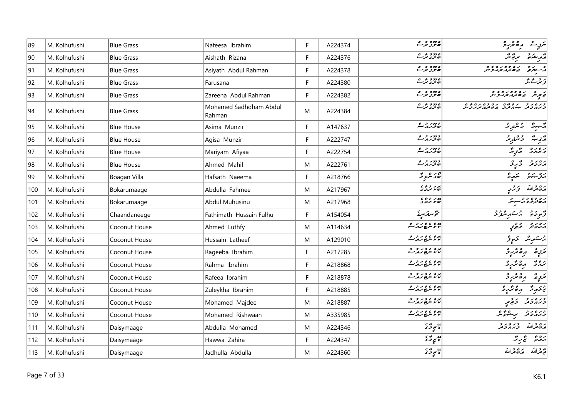| 89           | M. Kolhufushi | <b>Blue Grass</b> | Nafeesa Ibrahim                  | F. | A224374 | ه دوه پر م<br>حوړ مرک                   | أرە ئۆرۈ<br> سَموٍ ہے                                       |
|--------------|---------------|-------------------|----------------------------------|----|---------|-----------------------------------------|-------------------------------------------------------------|
| $ 90\rangle$ | M. Kolhufushi | <b>Blue Grass</b> | Aishath Rizana                   | F  | A224376 | ه دوه پر ه<br>حوړ مرک                   | پر<br>درگرد شومی<br>ىرىخ ئىر                                |
| 91           | M. Kolhufushi | <b>Blue Grass</b> | Asiyath Abdul Rahman             | F  | A224378 | ه دده و م<br>حور برگ                    | ر ه و ه د ه د ه<br>پره تربر تر تر<br>پر<br>در سه در د       |
| 92           | M. Kolhufushi | <b>Blue Grass</b> | Farusana                         | F  | A224380 | ه دده بر م<br>حور برگ                   | ر ج <sub>ە</sub> ر مەشر                                     |
| 93           | M. Kolhufushi | <b>Blue Grass</b> | Zareena Abdul Rahman             | F. | A224382 | ه دده و م<br>حور برگ                    | ر مورد ده ده ده دورد و<br>در مورد مدار مورد تس              |
| 94           | M. Kolhufushi | <b>Blue Grass</b> | Mohamed Sadhdham Abdul<br>Rahman | M  | A224384 | ه دوه پر م<br>حوبی تر ک                 | وره رو دره ۵۶۵ ده ده ۵۶۵ و<br>وبروژنتر سورترژ و صنور مربرژس |
| 95           | M. Kolhufushi | <b>Blue House</b> | Asima Munzir                     | F  | A147637 | و دور و ه<br><i>ه می د</i> ۸            | تر شروبر<br>رژ سه ژ                                         |
| 96           | M. Kolhufushi | <b>Blue House</b> | Agisa Munzir                     | F  | A222747 | و دور و ه<br><i>ه می د</i> ۸            | 3 مگ <sub>فر</sub> یز<br>ە تەنەپ                            |
| 97           | M. Kolhufushi | <b>Blue House</b> | Mariyam Afiyaa                   | F. | A222754 | و دور و ه<br><i>ه می د</i> ۸            | ر ه بر ه<br><del>د</del> بربرگر<br>ەتروتر                   |
| 98           | M. Kolhufushi | <b>Blue House</b> | Ahmed Mahil                      | M  | A222761 | ە دەر دەر                               | پروژو<br>ۇرۇ                                                |
| 99           | M. Kolhufushi | Boagan Villa      | Hafsath Naeema                   | F. | A218766 | 2 ئەرەرىگە<br>مەسىرە بىر                | رە بەر<br>بەر سەھ<br>سمەر                                   |
| 100          | M. Kolhufushi | Bokarumaage       | Abdulla Fahmee                   | M  | A217967 | پر د و و و<br><i>ه ما پر و</i> د        | برە تراللە<br>تزترج                                         |
| 101          | M. Kolhufushi | Bokarumaage       | Abdul Muhusinu                   | M  | A217968 | پر ر د » ،<br>ن <i>ه تا بو</i> ر د      | ر ه و ه و و<br>پرې تربر تر سوس                              |
| 102          | M. Kolhufushi | Chaandaneege      | Fathimath Hussain Fulhu          | F. | A154054 | ڭۇسىرىسىد                               | جر سەر سرى <sub>ر</sub> ئە<br>ۇ بوز <sub>ە</sub>            |
| 103          | M. Kolhufushi | Coconut House     | Ahmed Luthfy                     | M  | A114634 | بره ، ه ر د ه<br>تر تر شرف ک            | أرور وو                                                     |
| 104          | M. Kolhufushi | Coconut House     | Hussain Latheef                  | M  | A129010 | بره ، <i>ور د</i> ه                     | يزحكر يحبوقر                                                |
| 105          | M. Kolhufushi | Coconut House     | Rageeba Ibrahim                  | F  | A217285 | بره ، ه ر د ه<br>تا تا مربع ترمر        | ەھ ترىرى<br>ىمرتوقى                                         |
| 106          | M. Kolhufushi | Coconut House     | Rahma Ibrahim                    | F. | A218868 | بره ، ه ر د ه<br>بربر سرچ <i>ز</i> د ک  | ر ه و<br>برر <del>و</del><br>ە ھەترىرى<br>برەتترىرى         |
| 107          | M. Kolhufushi | Coconut House     | Rafeea Ibrahim                   | F. | A218878 | بره ، ه بر د ه                          | ەھ تررۈ<br>ىرىمە                                            |
| 108          | M. Kolhufushi | Coconut House     | Zuleykha Ibrahim                 | F  | A218885 | بره ، ه ر د ه<br>بربر سرچ <i>ز</i> د ک  | ەھ ترر ۋ<br>تح ځرمر جگ                                      |
| 109          | M. Kolhufushi | Coconut House     | Mohamed Majdee                   | M  | A218887 | بره ، و بر و ه                          | و ر ه ر د<br>تر پر ژ تر<br>تر 3 فر<br>5 فع فور              |
| 110          | M. Kolhufushi | Coconut House     | Mohamed Rishwaan                 | M  | A335985 | پره پره پر د ه                          | ىر شەھ تىر<br>و ر ه ر و<br>د بر پر <del>و</del> تر          |
| 111          | M. Kolhufushi | Daisymaage        | Abdulla Mohamed                  | M  | A224346 | ړي وي<br>نام پی                         | صصرالله<br>و ره ر و<br><i>و پر</i> و تر                     |
| 112          | M. Kolhufushi | Daisymaage        | Hawwa Zahira                     | F. | A224347 | پی پیچ دی<br>  پی پیچ تر <sub>ک</sub>   | ر ه بح<br>برآر څ<br>ىتى سەتتىر                              |
| 113          | M. Kolhufushi | Daisymaage        | Jadhulla Abdulla                 | M  | A224360 | پی پیچ دی<br>  پائی پیچ تر <sub>ک</sub> | قح فمرالله<br>مَەھىراللە                                    |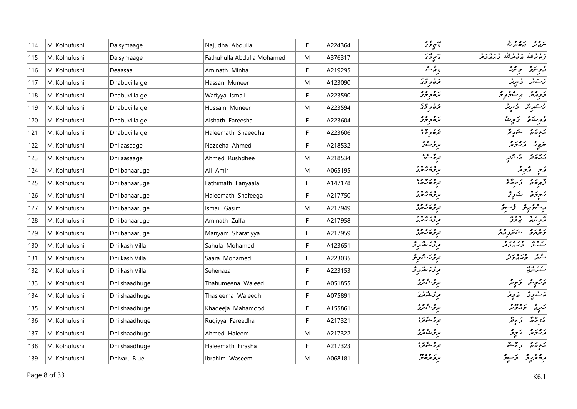| 114 | M. Kolhufushi | Daisymaage     | Najudha Abdulla            | F         | A224364 | پر سپر دی<br>  پاسم سپر حرک                                  | تربيح تر مركاته                                  |
|-----|---------------|----------------|----------------------------|-----------|---------|--------------------------------------------------------------|--------------------------------------------------|
| 115 | M. Kolhufushi | Daisymaage     | Fathuhulla Abdulla Mohamed | M         | A376317 | )<br>پانې پې تر <sub>ک</sub>                                 | روج الله رووج الله وبروير                        |
| 116 | M. Kolhufushi | Deaasaa        | Aminath Minha              | F         | A219295 | بورميمة                                                      | أروبتهم وبثدا                                    |
| 117 | M. Kolhufushi | Dhabuvilla ge  | Hassan Muneer              | M         | A123090 | ترځونځۍ                                                      | و سربر<br>ر<br>برسەيىتە                          |
| 118 | M. Kolhufushi | Dhabuvilla ge  | Wafiyya Ismail             | F         | A223590 | ترضمو څرنه                                                   | تورد پر مؤرثو                                    |
| 119 | M. Kolhufushi | Dhabuvilla ge  | Hussain Muneer             | ${\sf M}$ | A223594 | در در پر ،<br>  ترخور                                        | يزعتبرش وتبريز                                   |
| 120 | M. Kolhufushi | Dhabuvilla ge  | Aishath Fareesha           | F         | A223604 | در در پر<br>  ترخور                                          | أقهر شدة وكبر مثم                                |
| 121 | M. Kolhufushi | Dhabuvilla ge  | Haleemath Shaeedha         | F         | A223606 | د د په ،<br>  ترخوند                                         | رَوِرَةٍ حَمَدٍ مَرَّ                            |
| 122 | M. Kolhufushi | Dhilaasaage    | Nazeeha Ahmed              | F         | A218532 | ەرگۇرىچى                                                     | ىترىپە ئە<br>ر ه ر د<br>م <i>. ب</i> رونر        |
| 123 | M. Kolhufushi | Dhilaasaage    | Ahmed Rushdhee             | ${\sf M}$ | A218534 | ەرگەشىمى                                                     | أبره روح وحره ويحمد المحمد                       |
| 124 | M. Kolhufushi | Dhilbahaaruge  | Ali Amir                   | M         | A065195 | ه در ۶ و ۷<br>درمر <i>ه ر</i> بو <sub>ک</sub>                | $\frac{2}{3}$ $\frac{2}{3}$ $\frac{2}{3}$        |
| 125 | M. Kolhufushi | Dhilbahaaruge  | Fathimath Fariyaala        | F         | A147178 | ه در ۶ و ۷<br>درمر <i>ه ر</i> بر <sub>ک</sub>                | ۇ بىر پژىژ<br>ۇ بور د<br>گ                       |
| 126 | M. Kolhufushi | Dhilbahaaruge  | Haleemath Shafeega         | F         | A217750 | ه در ۶ و ۷<br>درمر <i>ه ر</i> بر د                           | پر پر ده په شوړ تخ                               |
| 127 | M. Kolhufushi | Dhilbahaaruge  | Ismail Gasim               | ${\sf M}$ | A217949 | ه در ۶ و ۷<br>درمر <i>ه ر</i> بر <sub>ک</sub>                | رەشۇر قىر                                        |
| 128 | M. Kolhufushi | Dhilbahaaruge  | Aminath Zulfa              | F         | A217958 | ه در ۶ و ۷<br>درمر <i>ه ر</i> بر د                           | $rac{202}{756}$ $rac{2}{3}$                      |
| 129 | M. Kolhufushi | Dhilbahaaruge  | Mariyam Sharafiyya         | F         | A217959 | ه در ۶ و ۷<br>درمر <i>ه ر</i> بر <sub>ک</sub>                | رەرە شەرىرە                                      |
| 130 | M. Kolhufushi | Dhilkash Villa | Sahula Mohamed             | F         | A123651 | <sub>مر</sub> ور مش <sub>م</sub> و و گ                       | و ر ه ر د<br>تر پروتر<br>سەرىتى                  |
| 131 | M. Kolhufushi | Dhilkash Villa | Saara Mohamed              | F         | A223035 | <sub>مر</sub> ور مش <sub>م</sub> و و گ                       | و رە ر د<br><i>د بر</i> گرىز<br>ستمبر            |
| 132 | M. Kolhufushi | Dhilkash Villa | Sehenaza                   | F         | A223153 | موعجم مشعورة                                                 | ے ئەشتى                                          |
| 133 | M. Kolhufushi | Dhilshaadhuge  | Thahumeena Waleed          | F         | A051855 | تر تو شگ <sup>ور</sup> و بم                                  | ەرجەش كەچەر                                      |
| 134 | M. Kolhufushi | Dhilshaadhuge  | Thasleema Waleedh          | F         | A075891 | تر تو شه و <sup>ج</sup><br>تر تو شه تر <sub>ک</sub>          | ىر ھېچە ئ <sup>ې</sup> ر<br>ءَ وِتر              |
| 135 | M. Kolhufushi | Dhilshaadhuge  | Khadeeja Mahamood          | F         | A155861 | و و شگ <sup>و و ی</sup><br>ترنوشگ <sup>و</sup> تری           | ئرتورچ<br>م<br>ر ه دد د<br>تر بر <del>و</del> تر |
| 136 | M. Kolhufushi | Dhilshaadhuge  | Rugiyya Fareedha           | F         | A217321 | و ه <sup>و و ي</sup>                                         | بمزيمه زَمرِيمَ                                  |
| 137 | M. Kolhufushi | Dhilshaadhuge  | Ahmed Haleem               | ${\sf M}$ | A217322 | و ه <sup>و و ي</sup><br>ترنو شگ <sup>و</sup> تر <sub>ک</sub> | برور و<br>برَجِرْ                                |
| 138 | M. Kolhufushi | Dhilshaadhuge  | Haleemath Firasha          | F         | A217323 | تېر بۇ شەرىرى                                                | وبرَّثَہ<br>  پر پور و<br>                       |
| 139 | M. Kolhufushi | Dhivaru Blue   | Ibrahim Waseem             | ${\sf M}$ | A068181 | مرح مرگ مح                                                   | رەنۇرۇ بۇسۇ                                      |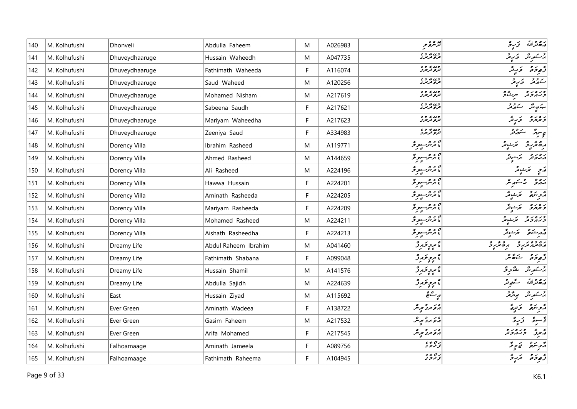| 140 | M. Kolhufushi | Dhonveli       | Abdulla Faheem       | M  | A026983 | پر ه ی<br>  تر شره م                                           | رە دالله ترىرد                              |
|-----|---------------|----------------|----------------------|----|---------|----------------------------------------------------------------|---------------------------------------------|
| 141 | M. Kolhufushi | Dhuveydhaaruge | Hussain Waheedh      | M  | A047735 | وړ پر و د<br>ترو ترمرد                                         | جر سکھر مگر کر تھر                          |
| 142 | M. Kolhufushi | Dhuveydhaaruge | Fathimath Waheeda    | F  | A116074 | و در به و د<br>تر <i>و</i> تر بر د                             | قَهْ فِرَةٌ وَرِيْدٌ                        |
| 143 | M. Kolhufushi | Dhuveydhaaruge | Saud Waheed          | M  | A120256 | و ړر په و د<br>تر <i>و</i> تر بر ت                             | سەھەر كەبەھ                                 |
| 144 | M. Kolhufushi | Dhuveydhaaruge | Mohamed Nisham       | M  | A217619 | و ړر بو و د<br>ترو تر مر پ                                     | و ره ر د<br>تر پر تر تر<br>سرڪو             |
| 145 | M. Kolhufushi | Dhuveydhaaruge | Sabeena Saudh        | F. | A217621 | وړ پر و د<br>ترو تر بر ت                                       | بەھ شەھەتر                                  |
| 146 | M. Kolhufushi | Dhuveydhaaruge | Mariyam Waheedha     | F  | A217623 | وړ، پر و ،<br>ترو تر بر <sub>ک</sub>                           | رەرە رېڭ                                    |
| 147 | M. Kolhufushi | Dhuveydhaaruge | Zeeniya Saud         | F  | A334983 | و ړر په و د<br>ترلو ترمر تر                                    | ستهرقر<br>سچ سرچڙ<br>تو                     |
| 148 | M. Kolhufushi | Dorency Villa  | Ibrahim Rasheed      | M  | A119771 | م<br>كى ئۇيتۇرسوم <b>ۇ</b>                                     | ەھترىرى ترىنىدۇ.<br>مەمگرى                  |
| 149 | M. Kolhufushi | Dorency Villa  | Ahmed Rasheed        | M  | A144659 | م بر مر به مو محر<br>مسیح مسیح                                 | رەرچە كەشىمى<br>مەركى كەشىمى                |
| 150 | M. Kolhufushi | Dorency Villa  | Ali Rasheed          | M  | A224196 | م تومر<br>الممر شروع                                           | ر<br>موسم سي                                |
| 151 | M. Kolhufushi | Dorency Villa  | Hawwa Hussain        | F  | A224201 | م<br>كېمرىشومو تو                                              | ر ه پ<br>بر د څ<br>برسەمەرىش                |
| 152 | M. Kolhufushi | Dorency Villa  | Aminath Rasheeda     | F  | A224205 | م بر مر به بر د محمد الله بالسياسي.<br>ما بر مر بر بر بر بر بر | أزويتمو أترجو                               |
| 153 | M. Kolhufushi | Dorency Villa  | Mariyam Rasheeda     | F  | A224209 | م ئەير سىرىدىنى ئە                                             | رەرە بەيشىر                                 |
| 154 | M. Kolhufushi | Dorency Villa  | Mohamed Rasheed      | M  | A224211 | ە ئەبەر سوپە ئە                                                | ورەر و پرَجونر                              |
| 155 | M. Kolhufushi | Dorency Villa  | Aishath Rasheedha    | F  | A224213 | م<br>كىمەشرىيە <i>مە</i> رگە                                   | لأمر شكوتم المحرك وكر                       |
| 156 | M. Kolhufushi | Dreamy Life    | Abdul Raheem Ibrahim | M  | A041460 | ، <sub>موج</sub> و برو<br>*                                    | ەر ھەترىرى<br>ر<br>ره وه ر<br>مەھىرمە ئىرىر |
| 157 | M. Kolhufushi | Dreamy Life    | Fathimath Shabana    | F  | A099048 | ، <sub>موج</sub> و برو<br>.                                    | ژودۇ شەھىر                                  |
| 158 | M. Kolhufushi | Dreamy Life    | Hussain Shamil       | Μ  | A141576 | ، <sub>موج</sub> و برو<br>.                                    | برستهرش تمتوفر                              |
| 159 | M. Kolhufushi | Dreamy Life    | Abdulla Sajidh       | M  | A224639 | ، <sub>موج</sub> و برو<br>.                                    | ستگھ فر<br>صصرالله                          |
| 160 | M. Kolhufushi | East           | Hussain Ziyad        | M  | A115692 | $\begin{bmatrix} 0 & 0 \\ 0 & -\frac{1}{2} \end{bmatrix}$      | برحمر شمر بروگر                             |
| 161 | M. Kolhufushi | Ever Green     | Aminath Wadeea       | F  | A138722 | <del>ه د کار د</del> مړينگر                                    | أرمز ترو<br>ءَ توجَّ                        |
| 162 | M. Kolhufushi | Ever Green     | Gasim Faheem         | M  | A217532 | ە ئەسرىم بىر بىر                                               | وي سور<br>ر<br>تررد                         |
| 163 | M. Kolhufushi | Ever Green     | Arifa Mohamed        | F. | A217545 | ې په چې سر مر مګر<br>مرغو پېړننګر                              | ەسىرىق<br>و ر ه ر و<br>تر پر تر تر          |
| 164 | M. Kolhufushi | Falhoamaage    | Aminath Jameela      | F  | A089756 | ر <i>0 ہ</i> ے ۔<br>وعر                                        | أأدجن وأوالمحمد                             |
| 165 | M. Kolhufushi | Falhoamaage    | Fathimath Raheema    | F  | A104945 | ر <i>0 ہ</i> ے ۔<br>وعر                                        | وٌمِ وَوَ مَدِ وَ                           |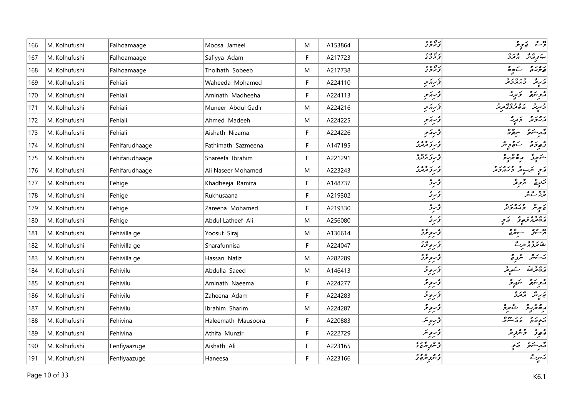| 166 | M. Kolhufushi | Falhoamaage    | Moosa Jameel       | M         | A153864 | ر ہ د د<br>او ندو د                    | ده سم د نړۍ د                                               |
|-----|---------------|----------------|--------------------|-----------|---------|----------------------------------------|-------------------------------------------------------------|
| 167 | M. Kolhufushi | Falhoamaage    | Safiyya Adam       | F         | A217723 | ر 0 ء ،<br>و د 5 د                     | بئورمد<br>پر ده<br>مرکزو                                    |
| 168 | M. Kolhufushi | Falhoamaage    | Tholhath Sobeeb    | ${\sf M}$ | A217738 | ر 0 ء ،<br>و رو د                      | ر ه ر د<br>ج نربر م<br>$\frac{2}{9}$ $\frac{2}{9}$          |
| 169 | M. Kolhufushi | Fehiali        | Waheeda Mohamed    | F         | A224110 | وربزىر                                 | و ر ه ر د<br>تر پر ژ تر<br>ءَ ٻريٽر                         |
| 170 | M. Kolhufushi | Fehiali        | Aminath Madheeha   | F         | A224113 | ۇر <sub>ە</sub> ر<br>ر                 | أأدبني أدرا                                                 |
| 171 | M. Kolhufushi | Fehiali        | Muneer Abdul Gadir | ${\sf M}$ | A224216 | ۇرىزىر                                 | و سرچر ده وه ورځ مرچر                                       |
| 172 | M. Kolhufushi | Fehiali        | Ahmed Madeeh       | M         | A224225 | ۇرىزىر                                 | رەرد دىرە                                                   |
| 173 | M. Kolhufushi | Fehiali        | Aishath Nizama     | F         | A224226 | د رکړ په                               | و مرشوم<br>مرسستوم<br>سرنجرڈ                                |
| 174 | M. Kolhufushi | Fehifarudhaage | Fathimath Sazmeena | F         | A147195 | ې په د وو،<br>د کرو مردگرد             | ۇ <sub>م</sub> ورۇ سەن <sub>و</sub> پىر                     |
| 175 | M. Kolhufushi | Fehifarudhaage | Shareefa Ibrahim   | F         | A221291 | ئۇ سەر ئەتىرى<br>                      | 5,50,<br>ىشەمرۇگە<br>ئە                                     |
| 176 | M. Kolhufushi | Fehifarudhaage | Ali Naseer Mohamed | M         | A223243 | ۇرۇپرىدى<br>ئ                          | ر<br>دي سرب د دره در                                        |
| 177 | M. Kolhufushi | Fehige         | Khadheeja Ramiza   | F         | A148737 | ې رې<br>تور د                          | زَ مِرِمَّ<br>رَ مِرِمَّ<br>بِرَ رَ سَرَ سَرَ<br>بمرتجر فتر |
| 178 | M. Kolhufushi | Fehige         | Rukhusaana         | F         | A219302 | ې<br>توري                              |                                                             |
| 179 | M. Kolhufushi | Fehige         | Zareena Mohamed    | F         | A219330 | ې<br>توريخ                             | تحييش وبرورو                                                |
| 180 | M. Kolhufushi | Fehige         | Abdul Latheef Ali  | ${\sf M}$ | A256080 | ې<br>توري                              | ره وه د و گرم                                               |
| 181 | M. Kolhufushi | Fehivilla ge   | Yoosuf Siraj       | ${\sf M}$ | A136614 | ۇروڭۇ                                  | دو وه<br>در سور سوبرد                                       |
| 182 | M. Kolhufushi | Fehivilla ge   | Sharafunnisa       | F         | A224047 | ۇروڭۇ                                  | .<br>  شو بروه سرت                                          |
| 183 | M. Kolhufushi | Fehivilla ge   | Hassan Nafiz       | M         | A282289 | ۇروڭۇ                                  | يَرْسَسْ سَمْدِجْ                                           |
| 184 | M. Kolhufushi | Fehivilu       | Abdulla Saeed      | M         | A146413 | ۇروڭر                                  | سە پە تىر<br>برە قراللە                                     |
| 185 | M. Kolhufushi | Fehivilu       | Aminath Naeema     | F         | A224277 | ء رو ٿر<br>ر                           | سكەيچ<br>أرمر بمرد                                          |
| 186 | M. Kolhufushi | Fehivilu       | Zaheena Adam       | F         | A224283 | ۇروڭر                                  | ىز بەشر<br>پر ده<br>مرکزو                                   |
| 187 | M. Kolhufushi | Fehivilu       | Ibrahim Sharim     | ${\sf M}$ | A224287 | ۇروڭر                                  | دە ئېرىۋ<br>شەمەر ئ                                         |
| 188 | M. Kolhufushi | Fehivina       | Haleemath Mausoora | F         | A220883 | ۇر <sub>ەبىر</sub><br>مەر              | $\frac{1}{\frac{2n}{\lambda^2-1} - \frac{2}{2}}$            |
| 189 | M. Kolhufushi | Fehivina       | Athifa Munzir      | F         | A222729 | ۇروپر                                  | ة وڙ<br>ۇش <sub>ىرىمە</sub>                                 |
| 190 | M. Kolhufushi | Fenfiyaazuge   | Aishath Ali        | F         | A223165 | ع عروج دي.<br> زينزپورتبن <sub>ک</sub> | و د برخو<br>ەكىيە                                           |
| 191 | M. Kolhufushi | Fenfiyaazuge   | Haneesa            | F         | A223166 | ئۇ شرى <sub>ق</sub> ىرىمى<br>          | ئە س <sub>و</sub> رىشە<br>ئە                                |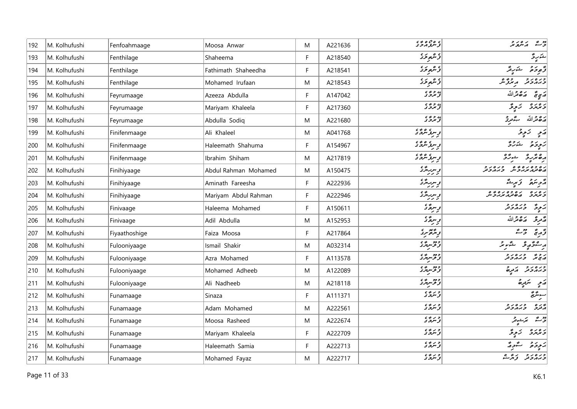| 192 | M. Kolhufushi | Fenfoahmaage  | Moosa Anwar          | M           | A221636 | ، ه ۵ ۵ ۵ و.<br>نومبونه و د                    | وژ شه کرده در                                                                       |
|-----|---------------|---------------|----------------------|-------------|---------|------------------------------------------------|-------------------------------------------------------------------------------------|
| 193 | M. Kolhufushi | Fenthilage    | Shaheema             | F           | A218540 | ۇشمۇخر                                         | شەرىچ                                                                               |
| 194 | M. Kolhufushi | Fenthilage    | Fathimath Shaheedha  | F           | A218541 | ې ش <sub>م</sub> وځه ک                         | توجوحتم<br>شترىرىگر                                                                 |
| 195 | M. Kolhufushi | Fenthilage    | Mohamed Irufaan      | M           | A218543 | ې ش <sub>عر تر</sub> ،                         | ورەر دېرومر                                                                         |
| 196 | M. Kolhufushi | Feyrumaage    | Azeeza Abdulla       | $\mathsf F$ | A147042 | ده و د »<br>توسرو د                            | مَ يبحِ مَنْ مَدَّاللَّهُ                                                           |
| 197 | M. Kolhufushi | Feyrumaage    | Mariyam Khaleela     | F           | A217360 | د، و و ،<br>توسرو د                            | زەرە تەبەر                                                                          |
| 198 | M. Kolhufushi | Feyrumaage    | Abdulla Sodiq        | ${\sf M}$   | A221680 | ړ، و و ،<br>تو مرتز ی                          | <mark>بر22</mark> مرالله<br>ر گەن 7                                                 |
| 199 | M. Kolhufushi | Finifenmaage  | Ali Khaleel          | ${\sf M}$   | A041768 | ار سرو مرد ؟<br>سرو مرد ؟                      | ړې ديږد                                                                             |
| 200 | M. Kolhufushi | Finifenmaage  | Haleemath Shahuma    | F           | A154967 | لوسوځ مرچ <sup>ي</sup>                         | رَ وِ دَ وَ وَ وَ وَ وَ وَ وَ                                                       |
| 201 | M. Kolhufushi | Finifenmaage  | Ibrahim Shiham       | M           | A217819 | ر سرگە شر <sup>ى</sup> رى                      | رە ئەر ئىرگە                                                                        |
| 202 | M. Kolhufushi | Finihiyaage   | Abdul Rahman Mohamed | M           | A150475 | او سربرېږي<br><u>سرب</u> ر                     | נס כס נס 4 סינס נביר.<br>השנה <i>גיב</i> ית - כינוכנ                                |
| 203 | M. Kolhufushi | Finihiyaage   | Aminath Fareesha     | F           | A222936 | او سربرېږي<br><u>سربر</u>                      | وحريكم وتبيعة                                                                       |
| 204 | M. Kolhufushi | Finihiyaage   | Mariyam Abdul Rahman | F           | A222946 | او سربر پر دی<br>است                           | ر ه و ه ر ه د ه<br>پره تر پر پر تر سر<br>ر ه ر ه<br><del>د</del> بربرد              |
| 205 | M. Kolhufushi | Finivaage     | Haleema Mohamed      | F           | A150611 | و سرچ <sup>ي</sup>                             | و ره ر و<br><i>د ب</i> رگرفر<br>برَجِرةٌ                                            |
| 206 | M. Kolhufushi | Finivaage     | Adil Abdulla         | ${\sf M}$   | A152953 | و سرچ <sup>ي</sup>                             | قرمر قرة قرالله                                                                     |
| 207 | M. Kolhufushi | Fiyaathoshige | Faiza Moosa          | F           | A217864 | و پھر ہ<br>پر مرتد سر                          | $\stackrel{2}{\sim}$ $\stackrel{2}{\sim}$ $\stackrel{3}{\sim}$ $\stackrel{4}{\sim}$ |
| 208 | M. Kolhufushi | Fulooniyaage  | Ismail Shakir        | M           | A032314 | و دو سرچ ۽<br>تر ڪرس                           | وحوصوها المحمومة                                                                    |
| 209 | M. Kolhufushi | Fulooniyaage  | Azra Mohamed         | F           | A113578 | و دو سرچ <sup>ج</sup>                          | ر و در ور د<br>مربع کردگر                                                           |
| 210 | M. Kolhufushi | Fulooniyaage  | Mohamed Adheeb       | ${\sf M}$   | A122089 | ۇ ئۇسرىرى                                      | وره رو کرده                                                                         |
| 211 | M. Kolhufushi | Fulooniyaage  | Ali Nadheeb          | M           | A218118 | و دو سرچ ۽<br>تر تر سرچ <sub>ک</sub>           | ړ سربره                                                                             |
| 212 | M. Kolhufushi | Funamaage     | Sinaza               | $\mathsf F$ | A111371 | و ر د د<br>تر سرچ د                            | سومترنج                                                                             |
| 213 | M. Kolhufushi | Funamaage     | Adam Mohamed         | ${\sf M}$   | A222561 | د بر پر پر<br>توسر <del>ی</del> ر <sub>ک</sub> | و رە ر د<br><i>د ب</i> رگرىز<br>پەر ە<br>مەنىرى                                     |
| 214 | M. Kolhufushi | Funamaage     | Moosa Rasheed        | ${\sf M}$   | A222674 | و پر پر پر<br>توسر <del>ی</del> ر <sub>ک</sub> | رح كرشور                                                                            |
| 215 | M. Kolhufushi | Funamaage     | Mariyam Khaleela     | $\mathsf F$ | A222709 | و ر د د<br>توسرچ د                             | ر ه ر ه<br><del>ر</del> بربر د<br>زًى و                                             |
| 216 | M. Kolhufushi | Funamaage     | Haleemath Samia      | F           | A222713 | و ر د د<br>توسرچ د                             | برويزة                                                                              |
| 217 | M. Kolhufushi | Funamaage     | Mohamed Fayaz        | ${\sf M}$   | A222717 | د بر پر پر<br>توسر <del>ی</del> ر <sub>ک</sub> | ورەر در رو                                                                          |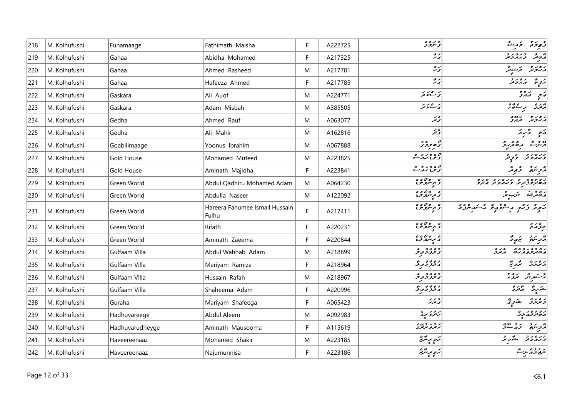| 218 | M. Kolhufushi | Funamaage         | Fathimath Maisha                        | F         | A222725 | و ر د د<br>و سرچ د                    | قرموقر ومريثه                                                   |
|-----|---------------|-------------------|-----------------------------------------|-----------|---------|---------------------------------------|-----------------------------------------------------------------|
| 219 | M. Kolhufushi | Gahaa             | Abidha Mohamed                          | F         | A217325 | ىزچ                                   | پ <sup>ر</sup> ص <sup>و</sup> ر<br>و ره ر و<br><i>و پر</i> و تر |
| 220 | M. Kolhufushi | Gahaa             | Ahmed Rasheed                           | M         | A217781 | ىزچ                                   | ره رو بر شوتر<br>مدونر برشوتر                                   |
| 221 | M. Kolhufushi | Gahaa             | Hafeeza Ahmed                           | F         | A217785 | ىزچ                                   | پروژو<br>برَوٍ پُرُ                                             |
| 222 | M. Kolhufushi | Gaskara           | Ali Auof                                | M         | A224771 | ىر <u>مە</u> رىمە                     | أتذبح أتذارد                                                    |
| 223 | M. Kolhufushi | Gaskara           | Adam Misbah                             | M         | A385505 | ر ۱۵۰۵ پر                             | ىر شەھ ر<br>پور ہ<br>پرتونژ                                     |
| 224 | M. Kolhufushi | Gedha             | Ahmed Rauf                              | M         | A063077 | ے تر<br>تحقر                          | נים ני ניבים<br>הגבע הניבי                                      |
| 225 | M. Kolhufushi | Gedha             | Ali Mahir                               | M         | A162816 | ى تىر                                 | $\frac{2}{3}$ $\frac{2}{3}$                                     |
| 226 | M. Kolhufushi | Goabilimaage      | Yoonus Ibrahim                          | M         | A067888 | م<br>د ځو د د                         | ود د ه<br>ە ھەتمەر 2<br>بەھەتمەر 2                              |
| 227 | M. Kolhufushi | <b>Gold House</b> | Mohamed Mufeed                          | M         | A223825 | ە ە ە ر د رە<br>ئەنزى <sub>د</sub> ىر | و ر ه ر د<br>د بر بر تر<br>تر تو فر                             |
| 228 | M. Kolhufushi | <b>Gold House</b> | Aminath Majidha                         | F         | A223841 | ە ە ە ر د رە<br>ئەنزى ئىرەرگ          | أأزو ينزه ومحمح وتر                                             |
| 229 | M. Kolhufushi | Green World       | Abdul Qadhiru Mohamed Adam              | ${\sf M}$ | A064230 | د سر موجود و م                        | נס כסמו כן כנסנופו בנס<br>הסטקצינקית כמהכנת הטב                 |
| 230 | M. Kolhufushi | Green World       | Abdulla Naseer                          | ${\sf M}$ | A122092 | د سر موجود و ه                        | رە داللە سكەببوتر                                               |
| 231 | M. Kolhufushi | Green World       | Hareera Fahumee Ismail Hussain<br>Fulhu | F         | A217411 | ء پر سرچ و ه<br> د سپر سرچر د         | ر<br>ر <sub>سم</sub> رگر ورکړه <sub>مر</sub> سوگړو رقمند مور    |
| 232 | M. Kolhufushi | Green World       | Rifath                                  | F         | A220231 | ء پر بره و ه<br> د پر بره چرو         | برور د<br>برو در د                                              |
| 233 | M. Kolhufushi | Green World       | Aminath Zaeema                          | F         | A220844 | ه په مره وه<br>د پېښو نوم             | أأدبتهم تمار                                                    |
| 234 | M. Kolhufushi | Gulfaam Villa     | Abdul Wahhab Adam                       | M         | A218899 | وه وه و و گ                           | ر ه و ه ر ه د ه<br>پره تر تر ه<br>پور ہ<br>مرکز ژ               |
| 235 | M. Kolhufushi | Gulfaam Villa     | Mariyam Ramiza                          | F         | A218964 | دو دو دو د                            | ر ه ر ه<br><del>ر</del> بربرگر<br>برٌوجٌ                        |
| 236 | M. Kolhufushi | Gulfaam Villa     | Hussain Rafah                           | M         | A218967 | دوءووء                                | يز سەر شەر ئەرگەنز                                              |
| 237 | M. Kolhufushi | Gulfaam Villa     | Shaheema Adam                           | F         | A220996 | وه وه ه و گ                           | ا شور ده.<br>ا<br>ەرگەر                                         |
| 238 | M. Kolhufushi | Guraha            | Mariyam Shafeega                        | F         | A065423 | د بر ر<br>بر برگ                      | ر ه بر ه<br>د بربر ژ<br>ستذورتخ                                 |
| 239 | M. Kolhufushi | Hadhuvareege      | Abdul Aleem                             | ${\sf M}$ | A092983 | ر ور<br>رکورېږي                       | ره ده در<br>ماه مردم د د                                        |
| 240 | M. Kolhufushi | Hadhuvarudheyge   | Aminath Mausooma                        | F         | A115619 | ر و ر وده ه<br>رتونو بوتوی            | ה הב גבורים                                                     |
| 241 | M. Kolhufushi | Haveereenaaz      | Mohamed Shakir                          | M         | A223185 | رَءٍ برِيثَهِ                         | و ر ه ر و<br>و پر پر و تر<br>شەرىر                              |
| 242 | M. Kolhufushi | Haveereenaaz      | Najumunnisa                             | F         | A223186 | ارَ <sub>وِ بِرِيُّدَة</sub>          | ىر 3 ج 2 مەرگە<br>سرىئے تر 2 مەرگ                               |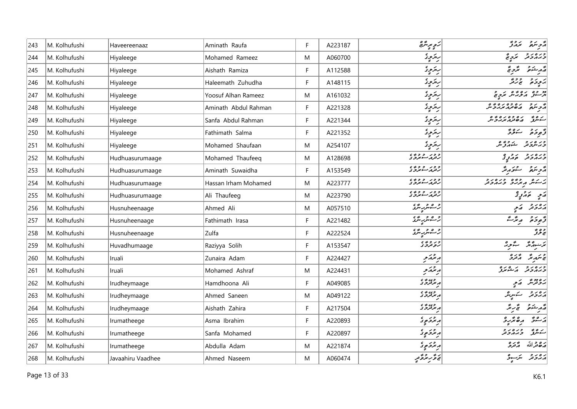| 243 | M. Kolhufushi | Haveereenaaz      | Aminath Raufa        | F         | A223187 | ئە <sub>ھە</sub> بىر ئىگە<br>ئەسىر           | أثر حريثهمج<br>بتربر بخ                         |
|-----|---------------|-------------------|----------------------|-----------|---------|----------------------------------------------|-------------------------------------------------|
| 244 | M. Kolhufushi | Hiyaleege         | Mohamed Rameez       | M         | A060700 | رېزىي <sup>ى</sup>                           | و ره ر و<br><i>د بر</i> گرفر<br>بمرتزع          |
| 245 | M. Kolhufushi | Hiyaleege         | Aishath Ramiza       | F         | A112588 | رېزېږ <sup>ي</sup>                           | ومرشنو المردمج                                  |
| 246 | M. Kolhufushi | Hiyaleege         | Haleemath Zuhudha    | F         | A148115 | رېزېږ <sup>ي</sup><br>د                      | ح 2 تەگە<br>سى مەگە<br>برويزة                   |
| 247 | M. Kolhufushi | Hiyaleege         | Yoosuf Alhan Rameez  | ${\sf M}$ | A161032 | رېزېږ <sup>ي</sup>                           | מ כם גם מם גבי                                  |
| 248 | M. Kolhufushi | Hiyaleege         | Aminath Abdul Rahman | F         | A221328 | رېزىي <sup>ى</sup>                           | ر ه و ه ر ه د ه<br>پره تر پر بر تر س<br>ړ د سرچ |
| 249 | M. Kolhufushi | Hiyaleege         | Sanfa Abdul Rahman   | F         | A221344 | رېزېږ <sup>ي</sup>                           | ر ه و ه د ه د ه<br>پره تر بربرتر س<br>سەھەتىر   |
| 250 | M. Kolhufushi | Hiyaleege         | Fathimath Salma      | F         | A221352 | رېزىر                                        | أزّوجو سنوقر                                    |
| 251 | M. Kolhufushi | Hiyaleege         | Mohamed Shaufaan     | ${\sf M}$ | A254107 | رېزى <sub>ۋى</sub>                           | ورەرو ئەدۇر                                     |
| 252 | M. Kolhufushi | Hudhuasurumaage   | Mohamed Thaufeeq     | M         | A128698 | و ورحيد و ده و<br>رقوبه سنوپور               | כנסנכ נכנס<br>כממכנג המתקיב                     |
| 253 | M. Kolhufushi | Hudhuasurumaage   | Aminath Suwaidha     | F         | A153549 | و ورحيد و ده ،<br>رسمبرگري                   | أروبترة سنقرمر                                  |
| 254 | M. Kolhufushi | Hudhuasurumaage   | Hassan Irham Mohamed | M         | A223777 | و ورحس و و پر د<br>رقوبر سنوپوری             | ر کامل ده د دره د د                             |
| 255 | M. Kolhufushi | Hudhuasurumaage   | Ali Thaufeeg         | M         | A223790 | و ورحيد و ده و<br>ر <sub>قوب</sub> ه ستوبر و | أوسم أورقم وهم                                  |
| 256 | M. Kolhufushi | Husnuheenaage     | Ahmed Ali            | M         | A057510 | 2 مەيرى <i>يەتك</i>                          | رەرد كې                                         |
| 257 | M. Kolhufushi | Husnuheenaage     | Fathimath Irasa      | F         | A221482 | 2 مەيرىر بىرى<br>مەسىر                       | ەپەتىر<br>و<br>توجو چې                          |
| 258 | M. Kolhufushi | Husnuheenaage     | Zulfa                | F         | A222524 | 2 مەش <sub>رىپ</sub> ىدى.<br>مەسرىپە         | ر وي<br>بح ترگ                                  |
| 259 | M. Kolhufushi | Huvadhumaage      | Raziyya Solih        | F         | A153547 | و ر و د »<br>ره ترو د                        | ر<br>مرسود پر مجمور                             |
| 260 | M. Kolhufushi | Iruali            | Zunaira Adam         | F         | A224427 | وبخهزمز                                      | تحسكر مجمرة المترد                              |
| 261 | M. Kolhufushi | Iruali            | Mohamed Ashraf       | M         | A224431 | وبخهزمز                                      | ورەرو كەشىرو                                    |
| 262 | M. Kolhufushi | Irudheymaage      | Hamdhoona Ali        | F         | A049085 | و ده و د و<br>در موتور و د                   | رەددە كەر                                       |
| 263 | M. Kolhufushi | Irudheymaage      | Ahmed Saneen         | M         | A049122 | و پر دره و<br>در مرتور و                     | ر ەر د<br>سەسرىگر                               |
| 264 | M. Kolhufushi | Irudheymaage      | Aishath Zahira       | F         | A217504 | <br>  پر برترو <sub>ک</sub>                  | ۇرمىشى تجرىم                                    |
| 265 | M. Kolhufushi | Irumatheege       | Asma Ibrahim         | F         | A220893 | ېر تر <i>دې</i><br>ر                         | ەھ ئرىرى<br>رَ شَرَّ                            |
| 266 | M. Kolhufushi | Irumatheege       | Sanfa Mohamed        | F         | A220897 | ېر پر دې د<br>ر                              | و ر ه ر د<br>تر پر ژ تر<br>سەھەتە               |
| 267 | M. Kolhufushi | Irumatheege       | Abdulla Adam         | ${\sf M}$ | A221874 | ېر بر دې<br>بر بر دې                         | ەھىراللە<br>پور ہ<br>مرکزو                      |
| 268 | M. Kolhufushi | Javaahiru Vaadhee | Ahmed Naseem         | M         | A060474 | ئەقرىر قرقرىيە                               | دەرو سەردە                                      |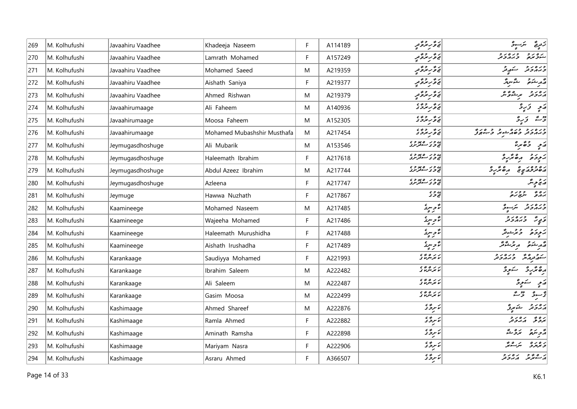| 269 | M. Kolhufushi | Javaahiru Vaadhee | Khadeeja Naseem             | F         | A114189 | ئە ئۇ سە ئەرگە ئېر                              | تزمرقے مترجو                                               |
|-----|---------------|-------------------|-----------------------------|-----------|---------|-------------------------------------------------|------------------------------------------------------------|
| 270 | M. Kolhufushi | Javaahiru Vaadhee | Lamrath Mohamed             | F.        | A157249 | ئے قریر تقریبہ                                  | ر ہ ر د<br>سکو ترج                                         |
| 271 | M. Kolhufushi | Javaahiru Vaadhee | Mohamed Saeed               | M         | A219359 | ئەڭرىر ئەر                                      | و ر ه ر د<br><i>و بر</i> پر تر<br>سکھروتر                  |
| 272 | M. Kolhufushi | Javaahiru Vaadhee | Aishath Saniya              | F.        | A219377 | ئەقرىرقىقىيە                                    | پ <sup>و</sup> پر شوچ<br>ے <i>مرین</i> گر                  |
| 273 | M. Kolhufushi | Javaahiru Vaadhee | Ahmed Rishwan               | M         | A219379 | بر گرېرگرگور                                    | رەر دېر مەشرەر<br>مەرىر بىرىشوگىر                          |
| 274 | M. Kolhufushi | Javaahirumaage    | Ali Faheem                  | M         | A140936 | ر په روپرون<br>محافر برون                       | ړې زرد                                                     |
| 275 | M. Kolhufushi | Javaahirumaage    | Moosa Faheem                | M         | A152305 | پر څر بر څر ی                                   | وحث تورو                                                   |
| 276 | M. Kolhufushi | Javaahirumaage    | Mohamed Mubashshir Musthafa | ${\sf M}$ | A217454 | پر څر پر چري                                    | وره ر د دره دره د و ه ره<br>د بربرونر و <i>ه</i> رشونر و ب |
| 277 | M. Kolhufushi | Jeymugasdhoshuge  | Ali Mubarik                 | M         | A153546 | دے و رے پو و ء<br>فع حر ي مسلومور               | أرشح وتقامره                                               |
| 278 | M. Kolhufushi | Jeymugasdhoshuge  | Haleemath Ibrahim           | F         | A217618 | دے و رے یو و ء<br>فع حر ی مسئونس پری            | بروزة المقتربة                                             |
| 279 | M. Kolhufushi | Jeymugasdhoshuge  | Abdul Azeez Ibrahim         | M         | A217744 | دے و رے پو و ء<br>فع حرمی مسلومور               | גפננגם בייני                                               |
| 280 | M. Kolhufushi | Jeymugasdhoshuge  | Azleena                     | F         | A217747 | دے و رے پو و ء<br>قع و ی سسونس دی               | ر دېږې<br>د نالو                                           |
| 281 | M. Kolhufushi | Jeymuge           | Hawwa Nuzhath               | F         | A217867 | ړ، و ع<br>قع تر <sub>ک</sub>                    | $5.23 - 5.22$                                              |
| 282 | M. Kolhufushi | Kaamineege        | Mohamed Naseem              | M         | A217485 | مڈحہ سری<br>سر                                  | ورەرو برگو                                                 |
| 283 | M. Kolhufushi | Kaamineege        | Wajeeha Mohamed             | F         | A217486 | مڈحہ سر <sup>ی</sup><br>م                       | د د د د د د د<br>  د د په د د د د                          |
| 284 | M. Kolhufushi | Kaamineege        | Haleemath Murushidha        | F         | A217488 | مۇجەسرى<br>مەس                                  | ر در در دوره<br>روزه د برخور                               |
| 285 | M. Kolhufushi | Kaamineege        | Aishath Irushadha           | F         | A217489 | نۇ جەسىئە<br>سىرسىيە                            | ە ئەرىشكە ئەر ئەر ئىگەنگە                                  |
| 286 | M. Kolhufushi | Karankaage        | Saudiyya Mohamed            | F.        | A221993 | ر ر ه و د ،<br>ما مرس د د                       | و رە ر د<br>تر <i>پر</i> و تر<br>سەپر تەرەپر               |
| 287 | M. Kolhufushi | Karankaage        | Ibrahim Saleem              | M         | A222482 | ر ر ه و د ،<br>ما بر سرد د                      | ەرھەترىر <sup>ى</sup><br>سەرد                              |
| 288 | M. Kolhufushi | Karankaage        | Ali Saleem                  | M         | A222487 | ر ر ه و و ،<br>ما <del>ب</del> رمبر <i>دا</i> د | ړې شود                                                     |
| 289 | M. Kolhufushi | Karankaage        | Gasim Moosa                 | M         | A222499 | ر ر ه و و ،<br>ما مورس                          | دو مح<br>وسبور<br>ر                                        |
| 290 | M. Kolhufushi | Kashimaage        | Ahmed Shareef               | M         | A222876 | ر<br>ئەبرىرى                                    | أرورو المتمرو                                              |
| 291 | M. Kolhufushi | Kashimaage        | Ramla Ahmed                 | F         | A222882 | ر<br>ما مورد د                                  | رە بەرد<br>برونۇ مەردىر                                    |
| 292 | M. Kolhufushi | Kashimaage        | Aminath Ramsha              | F         | A222898 | ر<br>مأمرچۍ                                     | ىر ئەشە<br>ړ ځې سرچ                                        |
| 293 | M. Kolhufushi | Kashimaage        | Mariyam Nasra               | F.        | A222906 | ر<br>مأمور <sup>ي</sup>                         | ر ه ر ه<br><del>و</del> بوبرو<br>ىئەرمەتتە                 |
| 294 | M. Kolhufushi | Kashimaage        | Asraru Ahmed                | F         | A366507 | ر<br>ماسرچۍ                                     | ر ه پر د بره رو<br>پرسوپر بر پرترن                         |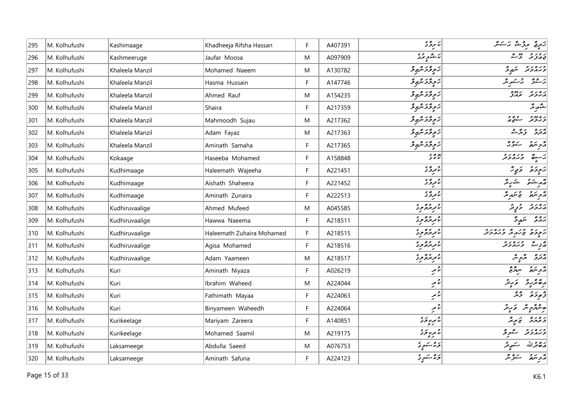| 295 | M. Kolhufushi | Kashimaage      | Khadheeja Rifsha Hassan   | F         | A407391 | ئەبرۇ ئ                                                                                              | زَمِرِةٌ بِرِوْحَةٌ بَرَسَمْرٌ                     |
|-----|---------------|-----------------|---------------------------|-----------|---------|------------------------------------------------------------------------------------------------------|----------------------------------------------------|
| 296 | M. Kolhufushi | Kashmeeruge     | Jaufar Moosa              | M         | A097909 | ئەشەرىپى                                                                                             | د در د در م                                        |
| 297 | M. Kolhufushi | Khaleela Manzil | Mohamed Naeem             | ${\sf M}$ | A130782 | زَرِ دُّرَ رُسْبِ دْ                                                                                 | و ر ه ر د<br>تر پر ټر تر<br>سكەپە                  |
| 298 | M. Kolhufushi | Khaleela Manzil | Hasma Hussain             | F         | A147746 | زَرِ دُّرَ مَرْبِر دْ                                                                                | ىز ئەنتى<br>بر سەمەرىش                             |
| 299 | M. Kolhufushi | Khaleela Manzil | Ahmed Rauf                | ${\sf M}$ | A154235 | زَرِ دُّرَ مَرْبِر دْ                                                                                | ر دوه<br>بورونو<br>ر ەر د<br>م.رى تر               |
| 300 | M. Kolhufushi | Khaleela Manzil | Shaira                    | F         | A217359 | ر ئىر ئەرگىز ئىلىنى ئىلىنى ئىلىنى ئىلىنى ئىلىنى ئىلىنى ئىلىنى ئىلىنى ئىلىنى ئىللىنىڭ ئىللىنىڭ ئىللىن | اڪثوبير                                            |
| 301 | M. Kolhufushi | Khaleela Manzil | Mahmoodh Sujau            | M         | A217362 | زَرِ دُّرَ تَرْبُو دُ                                                                                | ر ه دو و<br>تر بر تر<br>ر ج بر و<br>مستوف <i>ه</i> |
| 302 | M. Kolhufushi | Khaleela Manzil | Adam Fayaz                | ${\sf M}$ | A217363 | زَرٍ دُّرَ مَّرْبِ دُ                                                                                | په ره<br>د ترو<br>تر پژ شه                         |
| 303 | M. Kolhufushi | Khaleela Manzil | Aminath Samaha            | F         | A217365 | ر <sub>َ تر</sub> ِ تَرَ تَرْ <sub>مَ</sub> تَرْ                                                     | سترةرجه<br>أرمر وسنره                              |
| 304 | M. Kolhufushi | Kokaage         | Haseeba Mohamed           | F         | A158848 | بروی                                                                                                 | و رە ر د<br><i>د بە</i> پەر<br>برَب                |
| 305 | M. Kolhufushi | Kudhimaage      | Haleemath Wajeeha         | F         | A221451 | و د په ،<br>ما تورگ                                                                                  | برودة<br>ءَ تو ِرَّ                                |
| 306 | M. Kolhufushi | Kudhimaage      | Aishath Shaheera          | F         | A221452 | د وره و<br>ما فرقری                                                                                  | ىشكە پەتتىر<br>ر<br>مگهر شوه<br>د                  |
| 307 | M. Kolhufushi | Kudhimaage      | Aminath Zunaira           | F         | A222513 | ء مرځ ئ                                                                                              | أرمز<br>ىچ ئىزىرىتى                                |
| 308 | M. Kolhufushi | Kudhiruvaalige  | Ahmed Mufeed              | ${\sf M}$ | A045585 | و مر پرځ مو <sup>ځ</sup>                                                                             | رەر دېگرو                                          |
| 309 | M. Kolhufushi | Kudhiruvaalige  | Hawwa Naeema              | F         | A218511 | و مر پرېڅ پر <sup>ي</sup>                                                                            | پروژ سَمِدٍ دَّ                                    |
| 310 | M. Kolhufushi | Kudhiruvaalige  | Haleemath Zuhaira Mohamed | F         | A218515 | ژوپرځ و ځ                                                                                            | 21912 2112 2191                                    |
| 311 | M. Kolhufushi | Kudhiruvaalige  | Agisa Mohamed             | F         | A218516 | د و د دې<br>پاتوبرگونو د                                                                             | و ره ر د<br>تر <i>پر</i> و تر<br> مچمخو ہے         |
| 312 | M. Kolhufushi | Kudhiruvaalige  | Adam Yaameen              | M         | A218517 | د و پرځو پرې<br>مړينو کمر                                                                            | أروه المردية                                       |
| 313 | M. Kolhufushi | Kuri            | Aminath Niyaza            | F         | A026219 | و<br>ما مر                                                                                           | سرتريخ<br>أرمز ترة                                 |
| 314 | M. Kolhufushi | Kuri            | Ibrahim Waheed            | ${\sf M}$ | A224044 | اچ<br>س                                                                                              | ە ھەترىرى<br>رەھىرىرى<br>ءَ ٻريمر                  |
| 315 | M. Kolhufushi | Kuri            | Fathimath Mayaa           | F         | A224063 | تتمبر                                                                                                | وٌ پر دو د                                         |
| 316 | M. Kolhufushi | Kuri            | Binyameen Waheedh         | F         | A224064 | د<br>ما مر                                                                                           | ە ئىزگە ئىر ئىر                                    |
| 317 | M. Kolhufushi | Kurikeelage     | Mariyam Zareera           | F         | A140851 | ر<br>ما مر بر مر د                                                                                   | ويويره<br>ىج ئىرىتىر                               |
| 318 | M. Kolhufushi | Kurikeelage     | Mohamed Saamil            | ${\sf M}$ | A219175 | ر<br>سربر مود<br>سربر م                                                                              | ر شەر بۇ<br>و ره ر و<br><i>و پر</i> و تر           |
| 319 | M. Kolhufushi | Laksameege      | Abdulla Saeed             | M         | A076753 | ئەشەرى<br>  ئەنگەرى                                                                                  | برة قرالله<br>سے مرتبہ                             |
| 320 | M. Kolhufushi | Laksameege      | Aminath Safuna            | F         | A224123 | ئۇنۇسئوچ                                                                                             | ۇ ئەسىرە ئەرەپ                                     |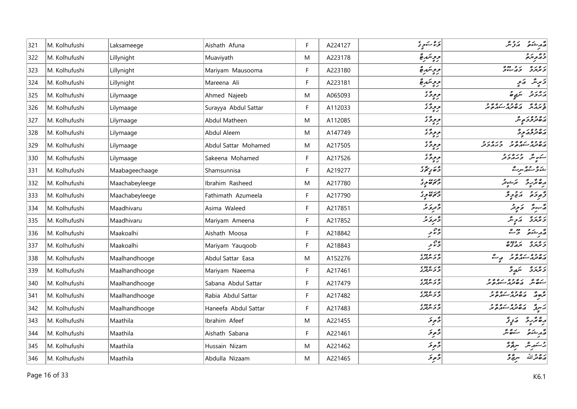| 321 | M. Kolhufushi | Laksameege     | Aishath Afuna        | F         | A224127 | ئۇنۇسكىرى                              | $\frac{2}{x^{2}-x^{2}}$                               |
|-----|---------------|----------------|----------------------|-----------|---------|----------------------------------------|-------------------------------------------------------|
| 322 | M. Kolhufushi | Lillynight     | Muaviyath            | M         | A223178 | ووبئدء                                 | د و بر د<br>د ټرمرمو                                  |
| 323 | M. Kolhufushi | Lillynight     | Mariyam Mausooma     | F         | A223180 | وويئهرهح                               | ر د دره<br>د پرسر<br>ر ه ر ه<br><del>ر</del> بربرگ    |
| 324 | M. Kolhufushi | Lillynight     | Mareena Ali          | F         | A223181 | وويئيرة                                | د پر تر پر                                            |
| 325 | M. Kolhufushi | Lilymaage      | Ahmed Najeeb         | M         | A065093 | ووڈء                                   | رەرو شەھ                                              |
| 326 | M. Kolhufushi | Lilymaage      | Surayya Abdul Sattar | F         | A112033 | و و دی<br>ری                           | כנס מסכס נסמכ<br>המגרג הסטה ביתו                      |
| 327 | M. Kolhufushi | Lilymaage      | Abdul Matheen        | ${\sf M}$ | A112085 | ووڈ ء<br>ر                             | ره وه ر<br>مه مرود م <sub>و</sub> شر                  |
| 328 | M. Kolhufushi | Lilymaage      | Abdul Aleem          | ${\sf M}$ | A147749 | ووڈء                                   | ر <i>ج د و د پ</i> ر و<br>پره تر تر پر و              |
| 329 | M. Kolhufushi | Lilymaage      | Abdul Sattar Mohamed | M         | A217505 | اوودي<br>است                           | נסכם נסמכ כנסנכ<br>השנג ייתפא כגגבת                   |
| 330 | M. Kolhufushi | Lilymaage      | Sakeena Mohamed      | F         | A217526 | ووژگی<br>رئی                           | سَرِیدٌ دره رو                                        |
| 331 | M. Kolhufushi | Maabageechaage | Shamsunnisa          | F         | A219277 | د څو په د                              | شۇر مەھرىرىگە                                         |
| 332 | M. Kolhufushi | Maachabeyleege | Ibrahim Rasheed      | ${\sf M}$ | A217780 | ور» ۽<br>حکم صوبي                      | ە ھەترىرى<br>بر ھەترىرى<br>مركب وتر                   |
| 333 | M. Kolhufushi | Maachabeyleege | Fathimath Azumeela   | F         | A217790 | پري .<br>د کړه م <sub>و</sub> د        |                                                       |
| 334 | M. Kolhufushi | Maadhivaru     | Asima Waleed         | F         | A217851 | <br> وسرعه مر<br>                      | ة سودً أو و و                                         |
| 335 | M. Kolhufushi | Maadhivaru     | Mariyam Ameena       | F         | A217852 | ۇ تىرى ئىر                             | ر ه ر ه<br>د بربرگ<br>ىر جە ئىتر                      |
| 336 | M. Kolhufushi | Maakoalhi      | Aishath Moosa        | F         | A218842 | وه ده<br>د کام                         | دين شهر<br>پ <sup>م</sup> پر ڪو                       |
| 337 | M. Kolhufushi | Maakoalhi      | Mariyam Yauqoob      | F         | A218843 | جړنمو په                               | ر ه ر ه<br><del>ر</del> بربرگ<br>ر دوده<br>پروژه      |
| 338 | M. Kolhufushi | Maalhandhooge  | Abdul Sattar Easa    | ${\sf M}$ | A152276 | بر ر ه دد ،<br>تر نر نرور              | ره ده ره د د په                                       |
| 339 | M. Kolhufushi | Maalhandhooge  | Mariyam Naeema       | F         | A217461 | بر ر ه دد ،<br>تر نر سربر <sub>ک</sub> | ر ه بر ه<br>تر <del>ب</del> ر بر                      |
| 340 | M. Kolhufushi | Maalhandhooge  | Sabana Abdul Sattar  | F         | A217479 | به رک دون<br>تر تر سربر <sub>ک</sub>   | ره وه ره دور<br>پره تر پر سه پر س<br>ئەھ ئىر          |
| 341 | M. Kolhufushi | Maalhandhooge  | Rabia Abdul Sattar   | F         | A217482 | بر ر ه دد ،<br>تر تر سربر <sub>ک</sub> | 220102012                                             |
| 342 | M. Kolhufushi | Maalhandhooge  | Haneefa Abdul Sattar | F         | A217483 | بر ر ه دد ،<br>تر نر نرور              | ر ٥ ۶ ٥ ٥ ٥ ٠ ٥ ٠<br>پره تر پر سه پر موسر<br>ىز سورتى |
| 343 | M. Kolhufushi | Maathila       | Ibrahim Afeef        | ${\sf M}$ | A221455 | څ حوځه                                 | رەپرى <sub>م</sub> ېرو                                |
| 344 | M. Kolhufushi | Maathila       | Aishath Sabana       | F         | A221461 | و څخه مخه<br>م                         | ۇرخۇ خۇش                                              |
| 345 | M. Kolhufushi | Maathila       | Hussain Nizam        | M         | A221462 | قرموخر                                 | جر سەر شەھ سىنى ئى                                    |
| 346 | M. Kolhufushi | Maathila       | Abdulla Nizaam       | M         | A221465 | ترموخه                                 | رە تەللە سەرتى                                        |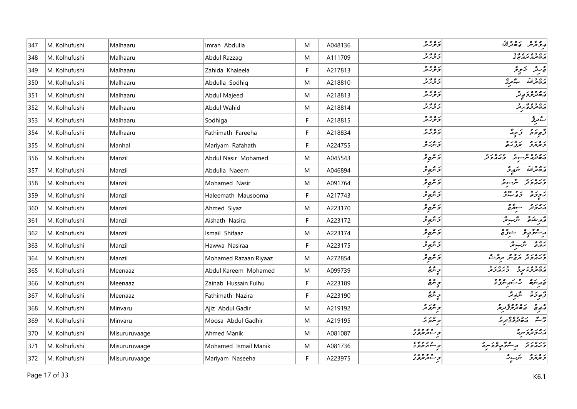| 347 | M. Kolhufushi | Malhaaru      | Imran Abdulla         | M         | A048136 | ر ه و و<br>5 نور بر       | أصر محمد الله الله                                          |
|-----|---------------|---------------|-----------------------|-----------|---------|---------------------------|-------------------------------------------------------------|
| 348 | M. Kolhufushi | Malhaaru      | Abdul Razzag          | M         | A111709 | ىرە بەر                   | ر ٥ - ٥ - ٥ - ٥ <u>-</u><br>۵ - <del>۵ تر</del> ۸ - ۶ - ۶ - |
| 349 | M. Kolhufushi | Malhaaru      | Zahida Khaleela       | F         | A217813 | ر ه و و<br>5 نور بر       | تج برنڈ - کرموٍ تحر                                         |
| 350 | M. Kolhufushi | Malhaaru      | Abdulla Sodhig        | M         | A218810 | ر ه و و<br>5 گرگ          | <mark>بر22</mark> مرالله<br>ر گروري                         |
| 351 | M. Kolhufushi | Malhaaru      | Abdul Majeed          | M         | A218813 | ر ه و و<br>5 نور بر       | ر ه وه ر<br>د ه ترڅرنو تو تر                                |
| 352 | M. Kolhufushi | Malhaaru      | Abdul Wahid           | M         | A218814 | ى ۋرىتر                   | ر ه و ه و بر و<br>پرې تر پور                                |
| 353 | M. Kolhufushi | Malhaaru      | Sodhiga               | F         | A218815 | ر ه و و<br>5 گرمگ         | سەمىرتى<br>                                                 |
| 354 | M. Kolhufushi | Malhaaru      | Fathimath Fareeha     | F         | A218834 | ىرە بەر                   | قەم قىيد                                                    |
| 355 | M. Kolhufushi | Manhal        | Mariyam Rafahath      | F         | A224755 | ىر ەر ي <sub>ە</sub>      | ر ه بر ه<br>د بربرگ<br>ر بر ر د<br>برتو بر ه                |
| 356 | M. Kolhufushi | Manzil        | Abdul Nasir Mohamed   | M         | A045543 | ئەشرىر بۇ                 | و ر ه ر د<br>تر پر پر تر<br>ره وه شر- و<br>مصغره مترجو تر   |
| 357 | M. Kolhufushi | Manzil        | Abdulla Naeem         | M         | A046894 | ئەنتىبى بۇ                | أصفعرالله تتميز                                             |
| 358 | M. Kolhufushi | Manzil        | Mohamed Nasir         | ${\sf M}$ | A091764 | ئەنئىرىمۇ                 | ىئرىبىدىز<br>و ر ه ر و<br>تر پر تر تر                       |
| 359 | M. Kolhufushi | Manzil        | Haleemath Mausooma    | F         | A217743 | ئەشىر ۋ                   |                                                             |
| 360 | M. Kolhufushi | Manzil        | Ahmed Siyaz           | M         | A223170 | ځە شېر ۋ                  | أرور والمسترجي                                              |
| 361 | M. Kolhufushi | Manzil        | Aishath Nasira        | F         | A223172 | ئەشىرو                    | مەر ئىسكى ئىسكى ئىسكى                                       |
| 362 | M. Kolhufushi | Manzil        | Ismail Shifaaz        | M         | A223174 | ۇمىئېۋ                    | رەم ئەركى ئىستىقى<br>مەسىرگە ئىستىقى                        |
| 363 | M. Kolhufushi | Manzil        | Hawwa Nasiraa         | F         | A223175 | ئەشىر ۋ                   | رەپ شەر                                                     |
| 364 | M. Kolhufushi | Manzil        | Mohamed Razaan Riyaaz | M         | A272854 | ځ شمېر څه                 |                                                             |
| 365 | M. Kolhufushi | Meenaaz       | Abdul Kareem Mohamed  | M         | A099739 | حريثره                    | מסיפטי פימיני<br>הסיתית הממידי                              |
| 366 | M. Kolhufushi | Meenaaz       | Zainab Hussain Fulhu  | F         | A223189 | جریٹرچ                    | zzone z arné                                                |
| 367 | M. Kolhufushi | Meenaaz       | Fathimath Nazira      | F         | A223190 | جريثي                     | ۇ <sub>ج</sub> وچۇ سىھمىتە                                  |
| 368 | M. Kolhufushi | Minvaru       | Ajiz Abdul Gadir      | ${\sf M}$ | A219192 | ە بەر د                   | ر ده ده ده در در د                                          |
| 369 | M. Kolhufushi | Minvaru       | Moosa Abdul Gadhir    | ${\sf M}$ | A219195 | حەشرى تىر                 | و ده ده ده ده در د                                          |
| 370 | M. Kolhufushi | Misururuvaage | <b>Ahmed Manik</b>    | ${\sf M}$ | A081087 | و رو و و د و<br>و سنوبوړۍ | ر ٥ ر ٥ ر ٥<br>ג ر <del>د</del> تر <del>د</del> س           |
| 371 | M. Kolhufushi | Misururuvaage | Mohamed Ismail Manik  | M         | A081736 | <br>  د سه پر پره د       | ورەرو برىشۇپە ئەسر                                          |
| 372 | M. Kolhufushi | Misururuvaage | Mariyam Naseeha       | F         | A223975 | إدر في ودي                | ويواده الكرسائر                                             |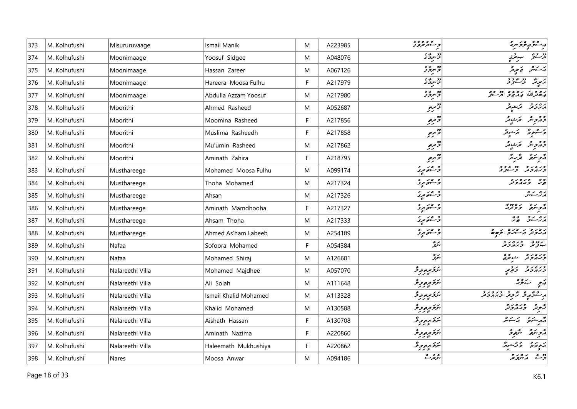| 373 | M. Kolhufushi | Misururuvaage    | Ismail Manik          | M         | A223985 | د د د د د و و<br>د سنوپرو د       | و جۇ ئەقرىرىدە                  |
|-----|---------------|------------------|-----------------------|-----------|---------|-----------------------------------|---------------------------------|
| 374 | M. Kolhufushi | Moonimaage       | Yoosuf Sidgee         | M         | A048076 | دد پرې<br>تر سرچ <sub>ک</sub>     | در حيو<br>مرڪبو<br>سبوفرتمج     |
| 375 | M. Kolhufushi | Moonimaage       | Hassan Zareer         | M         | A067126 | ادو په په<br>د سرچنۍ              | ىز كەش ئىچ بىرىمە               |
| 376 | M. Kolhufushi | Moonimaage       | Hareera Moosa Fulhu   | F         | A217979 | ود سرچ ی<br>څسرچ <sub>ک</sub>     | پر پر په دور<br>  پر پر په دور  |
| 377 | M. Kolhufushi | Moonimaage       | Abdulla Azzam Yoosuf  | M         | A217980 | دو په په<br>تر سرچ ک              | مەھەراللە مەم ئەم دور دە        |
| 378 | M. Kolhufushi | Moorithi         | Ahmed Rasheed         | M         | A052687 | دد<br>تر <sub>مرجو</sub>          |                                 |
| 379 | M. Kolhufushi | Moorithi         | Moomina Rasheed       | F         | A217856 | دد<br>تر <sub>مرجو</sub>          | وأروش ترجونر                    |
| 380 | M. Kolhufushi | Moorithi         | Muslima Rasheedh      | F         | A217858 | ود<br>ترسمر مر                    | وصوفر المرجوم                   |
| 381 | M. Kolhufushi | Moorithi         | Mu'umin Rasheed       | ${\sf M}$ | A217862 | ود<br>تر مورمو                    | وورتر برشوتر                    |
| 382 | M. Kolhufushi | Moorithi         | Aminath Zahira        | F         | A218795 | ود<br>تر مرمو                     | أرمحه وترسر                     |
| 383 | M. Kolhufushi | Musthareege      | Mohamed Moosa Fulhu   | M         | A099174 | و ص <sub>ور س</sub> ور<br>مرگ موس | כנסגב מישיב<br>בגהבת ב-תני      |
| 384 | M. Kolhufushi | Musthareege      | Thoha Mohamed         | M         | A217324 | د ه هر د ،<br>د سوه مړي           | پر وره رو<br>چرگ <i>وبرو</i> تر |
| 385 | M. Kolhufushi | Musthareege      | Ahsan                 | M         | A217326 | د صر مر<br>په مسرو کړې            | رويە                            |
| 386 | M. Kolhufushi | Musthareege      | Aminath Mamdhooha     | F         | A217327 | د ه.<br>د سگهڅونو                 | ر ه دوند<br>تر تر تر<br>أرمز    |
| 387 | M. Kolhufushi | Musthareege      | Ahsam Thoha           | ${\sf M}$ | A217333 | د صمر سره<br>د سومبرد             | ړه پره پرځ                      |
| 388 | M. Kolhufushi | Musthareege      | Ahmed As'ham Labeeb   | ${\sf M}$ | A254109 | ر سه هم بر <sup>ج</sup>           |                                 |
| 389 | M. Kolhufushi | Nafaa            | Sofoora Mohamed       | F         | A054384 | سرتر                              | ردور وره رو<br>سوفر سر جد مرحل  |
| 390 | M. Kolhufushi | Nafaa            | Mohamed Shiraj        | M         | A126601 | سَرَدٌ                            | ورەرو شەرقى                     |
| 391 | M. Kolhufushi | Nalareethi Villa | Mohamed Majdhee       | M         | A057070 | يتزبخ ببرء وقحه                   | وره رو دور<br>د برمرد د د دي    |
| 392 | M. Kolhufushi | Nalareethi Villa | Ali Solah             | M         | A111648 | يتزبخ برجوعه                      | أەيجة السنوفر                   |
| 393 | M. Kolhufushi | Nalareethi Villa | Ismail Khalid Mohamed | M         | A113328 | ىئەنجە يېرىدىگە                   | ړ څو پو د ژور د ده د د          |
| 394 | M. Kolhufushi | Nalareethi Villa | Khalid Mohamed        | M         | A130588 | ىئەنجە يېرىدىگە                   | وحدد ورودو                      |
| 395 | M. Kolhufushi | Nalareethi Villa | Aishath Hassan        | F         | A130708 | ىئر <del>ى</del> ز برە و څ        | مەم شىم ئەسكىش                  |
| 396 | M. Kolhufushi | Nalareethi Villa | Aminath Nazima        | F         | A220860 | يئر <i>ۇ بىرە و</i> رۇ            | أزوينهم التنموذ                 |
| 397 | M. Kolhufushi | Nalareethi Villa | Haleemath Mukhushiya  | F         | A220862 | يَرَدَّبُرِهِ وِ دَّ              | 5 ژ شوهر<br>برَجِرة و           |
| 398 | M. Kolhufushi | Nares            | Moosa Anwar           | ${\sf M}$ | A094186 | ىئە پر م                          | $220 - 22$                      |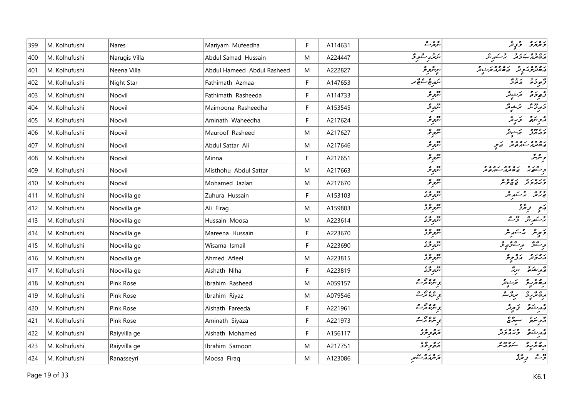| 399 | M. Kolhufushi | Nares            | Mariyam Mufeedha           | F         | A114631 | پڑ پڑ ہے                     | دەرە دېۋ                                               |
|-----|---------------|------------------|----------------------------|-----------|---------|------------------------------|--------------------------------------------------------|
| 400 | M. Kolhufushi | Narugis Villa    | Abdul Samad Hussain        | M         | A224447 | يئر پر پر شورځه              | ره وه رر و ور د ه                                      |
| 401 | M. Kolhufushi | Neena Villa      | Abdul Hameed Abdul Rasheed | ${\sf M}$ | A222827 | سریتن و قر                   | ره وه رحد در ۵۶۵ کرد.<br>مان مورد کرد در مان ماند کرد. |
| 402 | M. Kolhufushi | Night Star       | Fathimath Azmaa            | F         | A147653 | سَمَدِ هُ سُنَاءٌ سَر        |                                                        |
| 403 | M. Kolhufushi | Noovil           | Fathimath Rasheeda         | F         | A114733 | يتر <sub>عر</sub> ثر         | ۇۋۇق ئېشىڭە                                            |
| 404 | M. Kolhufushi | Noovil           | Maimoona Rasheedha         | F         | A153545 | يتر <sub>عر</sub> و          | كارده للمستحر المتحر المتحر                            |
| 405 | M. Kolhufushi | Noovil           | Aminath Waheedha           | F         | A217624 | لترهو فخر                    | أأدحني أوارقه                                          |
| 406 | M. Kolhufushi | Noovil           | Mauroof Rasheed            | ${\sf M}$ | A217627 | لتروغه                       | ر و دوه<br><i>د و برو</i> ه تر شونتر                   |
| 407 | M. Kolhufushi | Noovil           | Abdul Sattar Ali           | ${\sf M}$ | A217646 | يتر <sub>عر</sub> قر         | גם כם גם גביב הב                                       |
| 408 | M. Kolhufushi | Noovil           | Minna                      | F         | A217651 | يتر <sub>عر</sub> قر         | جەنگر                                                  |
| 409 | M. Kolhufushi | Noovil           | Misthohu Abdul Sattar      | ${\sf M}$ | A217663 | يتروعه                       | 010102010102010                                        |
| 410 | M. Kolhufushi | Noovil           | Mohamed Jazlan             | M         | A217670 | يتروعه                       | ورەرو رەۋە                                             |
| 411 | M. Kolhufushi | Noovilla ge      | Zuhura Hussain             | F         | A153103 | دد په په<br>سرعو تر د        | ى ئەنگە بەر شەر بىر                                    |
| 412 | M. Kolhufushi | Noovilla ge      | Ali Firag                  | ${\sf M}$ | A159803 | دد<br>سرع څرنه               | أەسمج ويترقى                                           |
| 413 | M. Kolhufushi | Noovilla ge      | Hussain Moosa              | ${\sf M}$ | A223614 | دد<br>متر <sub>جو</sub> بحری | $\frac{2}{\sqrt{3}}$ $\frac{2}{\sqrt{3}}$              |
| 414 | M. Kolhufushi | Noovilla ge      | Mareena Hussain            | F         | A223670 | دو پرې<br>سرعر پرې           | ۇيرىتر برگىزمىر                                        |
| 415 | M. Kolhufushi | Noovilla ge      | Wisama Ismail              | F         | A223690 | دو په <sup>پ</sup> ه         | وسترق وستروره                                          |
| 416 | M. Kolhufushi | Noovilla ge      | Ahmed Afleel               | M         | A223815 | دد پر ،<br>سره څرن           | رەرد روپو                                              |
| 417 | M. Kolhufushi | Noovilla ge      | Aishath Niha               | F         | A223819 | دو په په<br>سرچ گرۍ          | سرچ<br>پ <sup>و</sup> پر ڪوي<br>هر                     |
| 418 | M. Kolhufushi | Pink Rose        | Ibrahim Rasheed            | ${\sf M}$ | A059157 | ويتروه ترعه                  | ە ھەترىر <sup>ە</sup><br>ىمەسىيەتىر                    |
| 419 | M. Kolhufushi | <b>Pink Rose</b> | Ibrahim Riyaz              | ${\sf M}$ | A079546 | ابر عروفير مع                | وە پۇرۇ<br>ىىر پىر شە                                  |
| 420 | M. Kolhufushi | Pink Rose        | Aishath Fareeda            | F         | A221961 | ابر عده چرم                  | د د شود.<br>د د شود کومینگ                             |
| 421 | M. Kolhufushi | <b>Pink Rose</b> | Aminath Siyaza             | F         | A221973 | ابر چوچوے                    | سىزىرىنج<br>أرمز                                       |
| 422 | M. Kolhufushi | Raiyvilla ge     | Aishath Mohamed            | F         | A156117 | ىر ە<br>ئىرقومونترى          | و رە ر د<br>تر پروتر<br>پ <sup>و</sup> مرشومو<br>مرم   |
| 423 | M. Kolhufushi | Raiyvilla ge     | Ibrahim Samoon             | M         | A217751 | برە وېژ                      | ە ھەترىرى<br>مەھىرىرى<br>ر ه دو ه<br>سر <i>و پ</i> ر س |
| 424 | M. Kolhufushi | Ranasseyri       | Moosa Firaq                | ${\sf M}$ | A123086 | بر ەر ەپ،                    | ارديد و پره د                                          |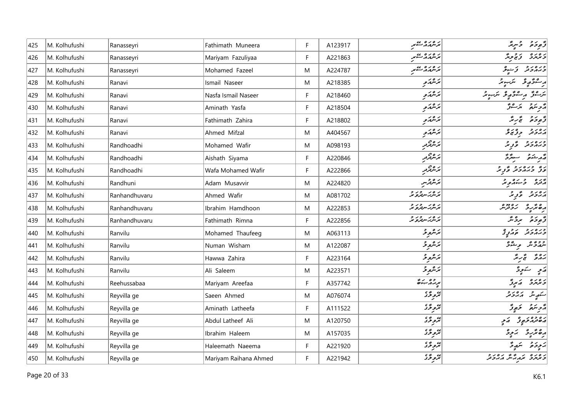| 425 | M. Kolhufushi | Ranasseyri    | Fathimath Muneera     | F         | A123917 | بر ۵٫۰۵ مئیر                            | خ سرپر<br>و محرم د<br>اقرام در حر            |
|-----|---------------|---------------|-----------------------|-----------|---------|-----------------------------------------|----------------------------------------------|
| 426 | M. Kolhufushi | Ranasseyri    | Mariyam Fazuliyaa     | F         | A221863 | بر ۵٫۰۵ مئیر                            | ترنج مجردگر<br>ر ه ر ه<br><del>ر</del> بربرگ |
| 427 | M. Kolhufushi | Ranasseyri    | Mohamed Fazeel        | M         | A224787 | ر ۱۵ ده <sup>دی</sup> د                 | ورەرو تەببى                                  |
| 428 | M. Kolhufushi | Ranavi        | Ismail Naseer         | M         | A218385 | برعدتمو                                 | ر جۇرچە سىيەتر                               |
| 429 | M. Kolhufushi | Ranavi        | Nasfa Ismail Naseer   | F         | A218460 | ابرمرمر                                 | ىرتوگە بەستۇپاي ئىبايد                       |
| 430 | M. Kolhufushi | Ranavi        | Aminath Yasfa         | F         | A218504 | ابرمرمزمر                               | أأرجع الرجو                                  |
| 431 | M. Kolhufushi | Ranavi        | Fathimath Zahira      | F         | A218802 | برىرد                                   | أزَّوِدَةً بِمَرِيزٌ                         |
| 432 | M. Kolhufushi | Ranavi        | Ahmed Mifzal          | ${\sf M}$ | A404567 | برەر                                    | د ه د د و و د و                              |
| 433 | M. Kolhufushi | Randhoadhi    | Mohamed Wafir         | M         | A098193 | برەم                                    | ورەرو ئەرو                                   |
| 434 | M. Kolhufushi | Randhoadhi    | Aishath Siyama        | F         | A220846 | برەم                                    | وكرم شكوم المستركز                           |
| 435 | M. Kolhufushi | Randhoadhi    | Wafa Mohamed Wafir    | F         | A222866 | برەم                                    | ره وره دو ه و و                              |
| 436 | M. Kolhufushi | Randhuni      | Adam Musavvir         | ${\sf M}$ | A224820 | برمروزسر                                | أروه وره و                                   |
| 437 | M. Kolhufushi | Ranhandhuvaru | Ahmed Wafir           | M         | A081702 | ىر ن <i>ىرىر بىرى تى</i> ر              | پرەر ئەربر                                   |
| 438 | M. Kolhufushi | Ranhandhuvaru | Ibrahim Hamdhoon      | ${\sf M}$ | A222853 | ر ہ ر سرگرد د                           | ر ه دو ه<br>ر د تر س<br>ەر ھەتمەر 2<br>س     |
| 439 | M. Kolhufushi | Ranhandhuvaru | Fathimath Rimna       | F         | A222856 | ىر ئەرىر بىرى بىر<br>بىر ئىرىر بىرى بىر | وٌجودَ جود مر                                |
| 440 | M. Kolhufushi | Ranvilu       | Mohamed Thaufeeg      | ${\sf M}$ | A063113 | برمروخه                                 | כנים כי היבים                                |
| 441 | M. Kolhufushi | Ranvilu       | Numan Wisham          | M         | A122087 | برمروغه                                 | حوم مشرح                                     |
| 442 | M. Kolhufushi | Ranvilu       | Hawwa Zahira          | F         | A223164 | برمروخه                                 | يرەۋ ھى يىر                                  |
| 443 | M. Kolhufushi | Ranvilu       | Ali Saleem            | ${\sf M}$ | A223571 | ترىثرو قر                               | ړې سکوپو                                     |
| 444 | M. Kolhufushi | Reehussabaa   | Mariyam Areefaa       | F         | A357742 | ا<br>سربر در جنگ                        | دەرە كەيدۇ                                   |
| 445 | M. Kolhufushi | Reyvilla ge   | Saeen Ahmed           | M         | A076074 | ء،<br>ترح قر                            | سكهر شرك ورو                                 |
| 446 | M. Kolhufushi | Reyvilla ge   | Aminath Latheefa      | F         | A111522 | محرور محر<br>  محرور حر                 | أأدبتكم تكوفر                                |
| 447 | M. Kolhufushi | Reyvilla ge   | Abdul Latheef Ali     | M         | A120750 | محرم محرمه<br>  محرم محرمه              | . פרסבת בית כ                                |
| 448 | M. Kolhufushi | Reyvilla ge   | Ibrahim Haleem        | M         | A157035 | مَرْحِرْ تَرَى                          | رەترىر تەرە                                  |
| 449 | M. Kolhufushi | Reyvilla ge   | Haleemath Naeema      | F         | A221920 | محرم عربي<br>  محرم عربي                | رَ وِ دَوَ مَدِوَّ                           |
| 450 | M. Kolhufushi | Reyvilla ge   | Mariyam Raihana Ahmed | F         | A221942 | محروج د<br>  محروج د                    | رەرە بر بەش رەرد                             |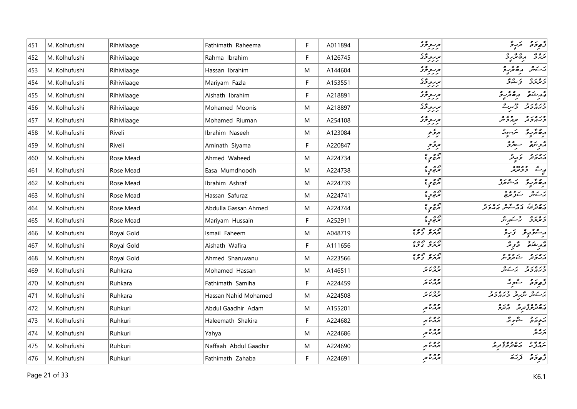| 451 | M. Kolhufushi | Rihivilaage | Fathimath Raheema     | F         | A011894 | ىررو ۋ <sup>ى</sup><br>برىرو ۋى  | و موځ مو<br>د کارونکو<br>ىمەرچ                  |
|-----|---------------|-------------|-----------------------|-----------|---------|----------------------------------|-------------------------------------------------|
| 452 | M. Kolhufushi | Rihivilaage | Rahma Ibrahim         | F         | A126745 | ا برره وي<br>اس د و و د          | برەپچ<br>ەھ ئرىرى                               |
| 453 | M. Kolhufushi | Rihivilaage | Hassan Ibrahim        | M         | A144604 | ابرره وي<br><u>سبب</u>           | ە ھەترىر ۋ<br>برسەمىر                           |
| 454 | M. Kolhufushi | Rihivilaage | Mariyam Fazla         | F         | A153551 | ابرره وی<br><u>درو</u> وی        | ر ه ر ه<br><del>د</del> بر د د<br>ىق شىقر       |
| 455 | M. Kolhufushi | Rihivilaage | Aishath Ibrahim       | F         | A218891 | ابرره وی<br><u>درو</u> وی        | رگەر شەھ                                        |
| 456 | M. Kolhufushi | Rihivilaage | Mohamed Moonis        | ${\sf M}$ | A218897 | ىرر ە ئىچ<br>ئرىر ئىس            | و رە ر د<br>تر پر تر تر<br>ج سرے                |
| 457 | M. Kolhufushi | Rihivilaage | Mohamed Riuman        | ${\sf M}$ | A254108 | ابوره وی<br>ایرره و دی           | بىر ئەڭ بىر<br>و ر ه ر د<br>د بر بر تر          |
| 458 | M. Kolhufushi | Riveli      | Ibrahim Naseeh        | ${\sf M}$ | A123084 | برءٌ م                           | ىئەسىدىر<br>ەھ ئ <sup>ۆ</sup> ر ۋ               |
| 459 | M. Kolhufushi | Riveli      | Aminath Siyama        | F         | A220847 | برة و                            | أزوينهم<br>سيبرد                                |
| 460 | M. Kolhufushi | Rose Mead   | Ahmed Waheed          | M         | A224734 | لىمى پە                          | بر 2 بر 15<br>م.بر <del>5</del> تر<br>ءَ ٻرير   |
| 461 | M. Kolhufushi | Rose Mead   | Easa Mumdhoodh        | M         | A224738 | ە ە<br>ئىرىنى ج <sub>ە</sub> يا  | پەشتە<br>و ه دوه<br>تر <del>و</del> توتو        |
| 462 | M. Kolhufushi | Rose Mead   | Ibrahim Ashraf        | M         | A224739 | ە ە<br>ئىرىنى ج <sub>ە</sub> يا  | رە ئەر ئەشىر                                    |
| 463 | M. Kolhufushi | Rose Mead   | Hassan Safuraz        | M         | A224741 | مرج حر ۽<br>  مرج حر             | بر کے معرض کے ترتیبی ج                          |
| 464 | M. Kolhufushi | Rose Mead   | Abdulla Gassan Ahmed  | ${\sf M}$ | A224744 | مرج ح ع<br>  سرج ح ع             | رە داللە نەھ ئەھ بەھ دە                         |
| 465 | M. Kolhufushi | Rose Mead   | Mariyam Hussain       | F         | A252911 | مرج ح <sub>و</sub> ء             | دەرە جەكەر                                      |
| 466 | M. Kolhufushi | Royal Gold  | Ismail Faheem         | ${\sf M}$ | A048719 | صرو صوه<br>  سرمرمی محرو         | و جۇمۇھ ئېرو                                    |
| 467 | M. Kolhufushi | Royal Gold  | Aishath Wafira        | F         | A111656 | ەرە قوم <b>ە</b>                 | ە ئەر ئىسىم ئىتى ئىگە                           |
| 468 | M. Kolhufushi | Royal Gold  | Ahmed Sharuwanu       | M         | A223566 | ہ رہ مہوہ<br>مربری تح <b>ر</b> ی | رەرە بەدەر                                      |
| 469 | M. Kolhufushi | Ruhkara     | Mohamed Hassan        | M         | A146511 | حەم ئە<br>ئىرەر ئىر              | ورەرو پەسكىر                                    |
| 470 | M. Kolhufushi | Ruhkara     | Fathimath Samiha      | F         | A224459 | د ه ر ر<br>مرد ري                | ژوده شربر                                       |
| 471 | M. Kolhufushi | Ruhkara     | Hassan Nahid Mohamed  | M         | A224508 | وه ر ر<br>مرد ريمه               | يُرَكَبُو شَرِيْرٍ وَيَرْمُرُونَدِ              |
| 472 | M. Kolhufushi | Ruhkuri     | Abdul Gaadhir Adam    | M         | A155201 | ۔<br>اعرا <i>ز ما</i> عر         | ד פריפי בינים בינים<br>הסתיביות המכ             |
| 473 | M. Kolhufushi | Ruhkuri     | Haleemath Shakira     | F         | A224682 | ابتروع مر                        | ر <i>زېږده څورنگ</i> ر                          |
| 474 | M. Kolhufushi | Ruhkuri     | Yahya                 | ${\sf M}$ | A224686 | بره د بر                         | ر ه پر<br>پربرگر                                |
| 475 | M. Kolhufushi | Ruhkuri     | Naffaah Abdul Gaadhir | ${\sf M}$ | A224690 | وه و<br>  برړند س                | ره و د<br>سرو بر<br>ر ٥ و ٥ و پر و<br>پرڪٽريزيز |
| 476 | M. Kolhufushi | Ruhkuri     | Fathimath Zahaba      | F         | A224691 | وه و<br>  برونا س                | وٌجوحَ حَرَبَ صَ                                |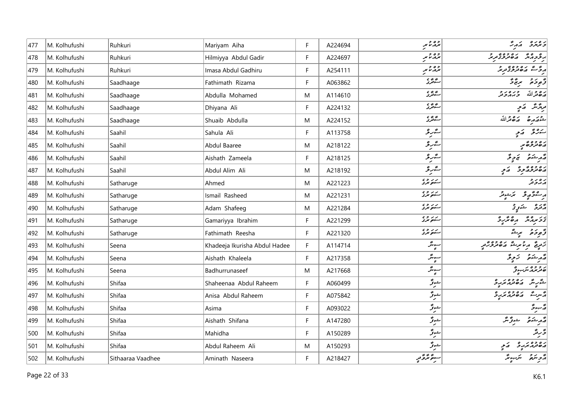| 477 | M. Kolhufushi | Ruhkuri           | Mariyam Aiha                  | F         | A224694 | ۔<br> برمریم سر      | د ه ده د کرد ر                                                                                                                                                                                                                   |
|-----|---------------|-------------------|-------------------------------|-----------|---------|----------------------|----------------------------------------------------------------------------------------------------------------------------------------------------------------------------------------------------------------------------------|
| 478 | M. Kolhufushi | Ruhkuri           | Hilmiyya Abdul Gadir          | F         | A224697 | وه و<br>محمد ما محمد | ره وه ده ده وه د                                                                                                                                                                                                                 |
| 479 | M. Kolhufushi | Ruhkuri           | Imasa Abdul Gadhiru           | F         | A254111 | أتره وير             | د و محمد معامل د د در د در د                                                                                                                                                                                                     |
| 480 | M. Kolhufushi | Saadhaage         | Fathimath Rizama              | F         | A063862 | ر پیچه پ             |                                                                                                                                                                                                                                  |
| 481 | M. Kolhufushi | Saadhaage         | Abdulla Mohamed               | ${\sf M}$ | A114610 | ر میخون              | و رە ر د<br>تر پر تر تر<br>برە قراللە                                                                                                                                                                                            |
| 482 | M. Kolhufushi | Saadhaage         | Dhiyana Ali                   | F         | A224132 | ر پیچه به            | مریز شہر<br>ابر سر                                                                                                                                                                                                               |
| 483 | M. Kolhufushi | Saadhaage         | Shuaib Abdulla                | ${\sf M}$ | A224152 | شۇرى<br>سىۋتىرى      | شمكرة كمكاني                                                                                                                                                                                                                     |
| 484 | M. Kolhufushi | Saahil            | Sahula Ali                    | F         | A113758 | سەر بۇ               | لەردۇ كەيپ                                                                                                                                                                                                                       |
| 485 | M. Kolhufushi | Saahil            | Abdul Baaree                  | ${\sf M}$ | A218122 | سەر بۇ               | ره وه هم پر                                                                                                                                                                                                                      |
| 486 | M. Kolhufushi | Saahil            | Aishath Zameela               | F         | A218125 | سەر بۇ               |                                                                                                                                                                                                                                  |
| 487 | M. Kolhufushi | Saahil            | Abdul Alim Ali                | M         | A218192 | سەر بۇ               | ره وه د د و<br>م <i>ه مرده د</i> و<br>رځ مو                                                                                                                                                                                      |
| 488 | M. Kolhufushi | Satharuge         | Ahmed                         | M         | A221223 | ر ر و ،<br>ستمبری    | بروير و                                                                                                                                                                                                                          |
| 489 | M. Kolhufushi | Satharuge         | Ismail Rasheed                | ${\sf M}$ | A221231 | ر ر د د<br>ستمبر     | ر جۇرگە ئىشىر                                                                                                                                                                                                                    |
| 490 | M. Kolhufushi | Satharuge         | Adam Shafeeg                  | ${\sf M}$ | A221284 | ر ر د د<br>ستمبر     | ر<br>د ترو شورٍ و                                                                                                                                                                                                                |
| 491 | M. Kolhufushi | Satharuge         | Gamariyya Ibrahim             | F         | A221299 | ے ر و ۽<br>ستوجري    |                                                                                                                                                                                                                                  |
| 492 | M. Kolhufushi | Satharuge         | Fathimath Reesha              | F         | A221320 | ر ر و ،<br>ستمبری    | و و ده برگ                                                                                                                                                                                                                       |
| 493 | M. Kolhufushi | Seena             | Khadeeja Ikurisha Abdul Hadee | F         | A114714 | اسومتر<br>په         | دَمِيعٌ أَمِرْ مُرْجَدٌ أَمَا مُرْوَرُ مِنْ أَمَرَ مِنْ أَمَرَ مِنْ أَمَرَ مِنْ أَمَرَ مِنْ أَمَرَ م<br>أَمَا إِمَا أَمْ أَمَرِ أَمَرَ أَمَرَ أَمَرَ أَمَرَ أَمَرَ أَمَرَ أَمَرَ أَمَرَ أَمَرَ أَمَرَ أَمَرَ أَمَرَ أَ           |
| 494 | M. Kolhufushi | Seena             | Aishath Khaleela              | F         | A217358 | ىيە پىگر             |                                                                                                                                                                                                                                  |
| 495 | M. Kolhufushi | Seena             | Badhurrunaseef                | M         | A217668 | سوېتر                | ر و وه ر<br>حو برد متر ب                                                                                                                                                                                                         |
| 496 | M. Kolhufushi | Shifaa            | Shaheenaa Abdul Raheem        | F         | A060499 | شوتر                 | شور مره ده در مدرد در در در در حدار در در حدار در در حدار در حدار در حدار در حدار در حدار در حدار در حدار دارد<br>مسئولین در حدار در حدار در حدار در حدار در حدار در حدار در حدار دارد و در حدار دارد و در حدار دارد و در حدار د |
| 497 | M. Kolhufushi | Shifaa            | Anisa Abdul Raheem            | F         | A075842 | ىشەرگە<br>مەس        | ره وه ر<br>پره تربر تربر د                                                                                                                                                                                                       |
| 498 | M. Kolhufushi | Shifaa            | Asima                         | F         | A093022 | خوتو<br>م            | ړ شرت<br>د شرت                                                                                                                                                                                                                   |
| 499 | M. Kolhufushi | Shifaa            | Aishath Shifana               | F         | A147280 | شوترٌ                |                                                                                                                                                                                                                                  |
| 500 | M. Kolhufushi | Shifaa            | Mahidha                       | F         | A150289 | شورٌ<br>م            |                                                                                                                                                                                                                                  |
| 501 | M. Kolhufushi | Shifaa            | Abdul Raheem Ali              | ${\sf M}$ | A150293 | شوترٌ                |                                                                                                                                                                                                                                  |
| 502 | M. Kolhufushi | Sithaaraa Vaadhee | Aminath Naseera               | F         | A218427 | سىۋىمە ئۇر           | ر مستقبل من<br>مرکز من میکنید میکنید میکن                                                                                                                                                                                        |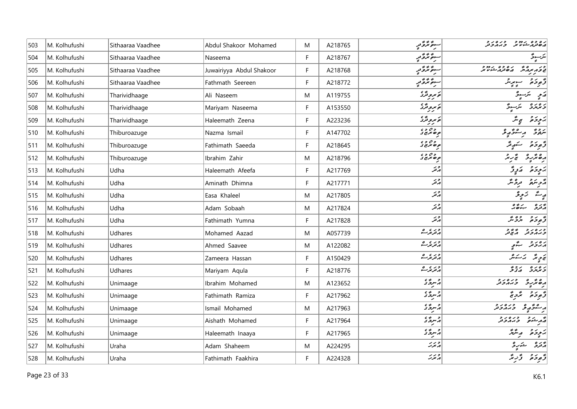| 503 | M. Kolhufushi | Sithaaraa Vaadhee | Abdul Shakoor Mohamed    | M         | A218765 | سىۋىم ئىرقۇمر                | ره وه ردد و دره رو<br>هاده در شون بر بر بر بر بر                                                     |
|-----|---------------|-------------------|--------------------------|-----------|---------|------------------------------|------------------------------------------------------------------------------------------------------|
| 504 | M. Kolhufushi | Sithaaraa Vaadhee | Naseema                  | F         | A218767 | _ پر پر پور                  | ىئەسەۋ                                                                                               |
| 505 | M. Kolhufushi | Sithaaraa Vaadhee | Juwairiyya Abdul Shakoor | F         | A218768 | — پۇ ئۆرگۈر<br>سرەتمەتقى     | ره ده بردد د<br>پره ترو <sup>من</sup> وس<br>כן<br>הפקידות                                            |
| 506 | M. Kolhufushi | Sithaaraa Vaadhee | Fathmath Seereen         | F         | A218772 | سوە ئەرەپىر<br>سوە ئىرەكتوپە | و در د<br>گرموخو<br>سەمىرىتر<br>ئىقتى                                                                |
| 507 | M. Kolhufushi | Tharividhaage     | Ali Naseem               | M         | A119755 | ړ<br>حومرو تر د              | ړنې ترکيږ                                                                                            |
| 508 | M. Kolhufushi | Tharividhaage     | Mariyam Naseema          | F         | A153550 | ئەسرە تۈرى<br>مۇسرە تۈرى     | ر ه ر ه<br>  <del>ر</del> بربرو<br>ىئرسىدۇ                                                           |
| 509 | M. Kolhufushi | Tharividhaage     | Haleemath Zeena          | F         | A223236 | ر<br>حوموع فری               | بروده پېژ                                                                                            |
| 510 | M. Kolhufushi | Thiburoazuge      | Nazma Ismail             | F         | A147702 |                              | يتموش مشرقها و                                                                                       |
| 511 | M. Kolhufushi | Thiburoazuge      | Fathimath Saeeda         | F         | A218645 | 5500                         | أرٌمورَمْ سَنهِ مَدْ                                                                                 |
| 512 | M. Kolhufushi | Thiburoazuge      | Ibrahim Zahir            | M         | A218796 | د ۵ و ٤<br>موھ مربح ي        | ە ھەترىرى<br>رەھىرىرى<br>سچ ریخه                                                                     |
| 513 | M. Kolhufushi | Udha              | Haleemath Afeefa         | F         | A217769 | پر تئر                       | بروزة<br>ەردۇ                                                                                        |
| 514 | M. Kolhufushi | Udha              | Aminath Dhimna           | F         | A217771 | پر تئر                       | أرمزة<br>ىر ۋىگر                                                                                     |
| 515 | M. Kolhufushi | Udha              | Easa Khaleel             | M         | A217805 | پر تھر                       | ړ شه د تر په د                                                                                       |
| 516 | M. Kolhufushi | Udha              | Adam Sobaah              | ${\sf M}$ | A217824 | پر تئر                       | په ره<br>در تر ژ<br>$20 - 7$                                                                         |
| 517 | M. Kolhufushi | Udha              | Fathimath Yumna          | F         | A217828 | پر تھر                       | ق بالمحمد المحمد المحمد المحمد المحمد المحمد المحمد المحمد المحمد المحمد المحمد المحمد المحمد المحمد |
| 518 | M. Kolhufushi | Udhares           | Mohamed Aazad            | ${\sf M}$ | A057739 | د ر ، م<br>مرمرسه            | כנסנכ בבכ<br>כגתכת השת                                                                               |
| 519 | M. Kolhufushi | Udhares           | Ahmed Saavee             | M         | A122082 | د ر ، م<br>مرمر سه           | دەر د سگوپ                                                                                           |
| 520 | M. Kolhufushi | Udhares           | Zameera Hassan           | F         | A150429 | ە ئەرىئە ھ                   | ئج جانگ انگرانسگر                                                                                    |
| 521 | M. Kolhufushi | Udhares           | Mariyam Aqula            | F         | A218776 | ە ئەرىئە ھ                   | رەرە روپ                                                                                             |
| 522 | M. Kolhufushi | Unimaage          | Ibrahim Mohamed          | M         | A123652 | په سرچ <sub>ک</sub>          | و ره ر و<br><i>و پر</i> و تر<br>ە ھەترىر <sup>ە</sup>                                                |
| 523 | M. Kolhufushi | Unimaage          | Fathimath Ramiza         | F         | A217962 | د سرچ ی<br>م                 | وٌوِدَهُ گُرَدِيَّ                                                                                   |
| 524 | M. Kolhufushi | Unimaage          | Ismail Mohamed           | ${\sf M}$ | A217963 | د<br>پرسرچر                  | ۶ ر ٥ ر ۶<br>تر بر بر تر<br>وستخوفر                                                                  |
| 525 | M. Kolhufushi | Unimaage          | Aishath Mohamed          | F         | A217964 | د<br>مسرچې                   | پھر شہور<br>مسر<br>و ره ر و<br><i>و ټ</i> رونر                                                       |
| 526 | M. Kolhufushi | Unimaage          | Haleemath Inaaya         | F         | A217965 | د سرچ ی<br>د سرچ ی           | برودة ويثتر                                                                                          |
| 527 | M. Kolhufushi | Uraha             | Adam Shaheem             | M         | A224295 | ەئەرىر                       | ء ر ه<br>مرگر<br>ے کرو                                                                               |
| 528 | M. Kolhufushi | Uraha             | Fathimath Faakhira       | F         | A224328 | پرسر                         | وَّجْوَحَةُ وَرَبَّرَ                                                                                |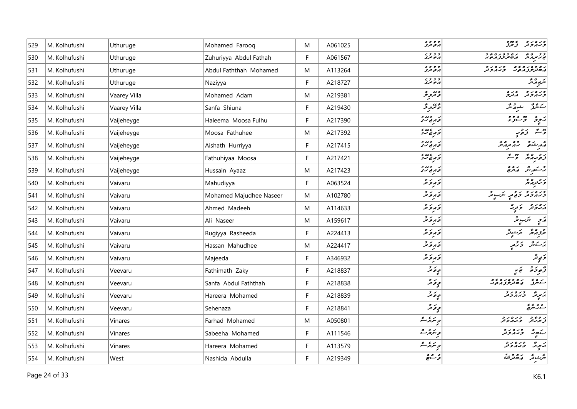| 529 | M. Kolhufushi | Uthuruge     | Mohamed Farooq          | M         | A061025 | د د د د<br>پره پرې            | وره رو په دوو<br><i>وبرورونو و</i> مر                          |
|-----|---------------|--------------|-------------------------|-----------|---------|-------------------------------|----------------------------------------------------------------|
| 530 | M. Kolhufushi | Uthuruge     | Zuhuriyya Abdul Fathah  | F         | A061567 | د د د پ<br>پره مرد            | ככ סי גם בסגסיב<br>גבאות השינות באופי                          |
| 531 | M. Kolhufushi | Uthuruge     | Abdul Faththah Mohamed  | M         | A113264 | د د د ،<br>پره پرې            | ره وه ره ده در ور در<br>مصر دورمور در در در                    |
| 532 | M. Kolhufushi | Uthuruge     | Naziyya                 | F         | A218727 | د د د پ<br>پره پور            | سكبي وهمر                                                      |
| 533 | M. Kolhufushi | Vaarey Villa | Mohamed Adam            | ${\sf M}$ | A219381 | جۇ ئېچىدىچە                   | ورەر د درە<br><i>دى</i> رمەنر مەنر <i>و</i>                    |
| 534 | M. Kolhufushi | Vaarey Villa | Sanfa Shiuna            | F         | A219430 | و بر<br>  عربر عر             | سەسىر ھەرش                                                     |
| 535 | M. Kolhufushi | Vaijeheyge   | Haleema Moosa Fulhu     | F         | A217390 | ر<br>تو دي ري                 | د ه شو د د<br> پر پیچنگ                                        |
| 536 | M. Kolhufushi | Vaijeheyge   | Moosa Fathuhee          | M         | A217392 | ر<br>تو در ج ر د              | دوية وكالمي                                                    |
| 537 | M. Kolhufushi | Vaijeheyge   | Aishath Hurriyya        | F         | A217415 | ر<br>  د مړين د د             |                                                                |
| 538 | M. Kolhufushi | Vaijeheyge   | Fathuhiyaa Moosa        | F         | A217421 | ر<br>  عرض رئ                 | رو ەپر دوپ                                                     |
| 539 | M. Kolhufushi | Vaijeheyge   | Hussain Ayaaz           | M         | A217423 | ر<br>تو در ج ر د              | جر شهر شهر محمد المراجع                                        |
| 540 | M. Kolhufushi | Vaivaru      | Mahudiyya               | F         | A063524 | ءَرِءَ پُر                    | ر و ره و<br>تر تر <i>م</i> ر مر                                |
| 541 | M. Kolhufushi | Vaivaru      | Mohamed Majudhee Naseer | ${\sf M}$ | A102780 | ءَ مرءُ مُر                   | وره رو رو رو شهر                                               |
| 542 | M. Kolhufushi | Vaivaru      | Ahmed Madeeh            | M         | A114633 | ءَ مرءَ تر                    | ړه رو د وړ                                                     |
| 543 | M. Kolhufushi | Vaivaru      | Ali Naseer              | M         | A159617 | ءَرِءَ پُر                    | ە ئەسىر ئىسىر ئىسىر ئىسىر<br>ئىسىر ئىسىر ئىسىر                 |
| 544 | M. Kolhufushi | Vaivaru      | Rugiyya Rasheeda        | F         | A224413 | ءَرءَ پر                      | ر<br>ترتوم <sup>ه</sup> ر ترجوم                                |
| 545 | M. Kolhufushi | Vaivaru      | Hassan Mahudhee         | ${\sf M}$ | A224417 | ءَروَ پر                      | ېزىكەنتر<br>وكرقو                                              |
| 546 | M. Kolhufushi | Vaivaru      | Majeeda                 | F         | A346932 | ءَمرِءَ تر                    | ترمچ قر                                                        |
| 547 | M. Kolhufushi | Veevaru      | Fathimath Zaky          | F         | A218837 | اءٍءَ بَرْ                    | وٌودَهُ بَي                                                    |
| 548 | M. Kolhufushi | Veevaru      | Sanfa Abdul Faththah    | F         | A218838 | عرو تمر                       | ره وه ره ده<br>پره تر <del>ژ</del> تر چر<br>سەئىد              |
| 549 | M. Kolhufushi | Veevaru      | Hareera Mohamed         | F         | A218839 | <sub>عب</sub> وء تنر          | و ره ر و<br>تر پر تر تر<br>ئەسەپىتىر<br>ئە                     |
| 550 | M. Kolhufushi | Veevaru      | Sehenaza                | F         | A218841 | حە جە ئىر<br>ئى               | سوريږ                                                          |
| 551 | M. Kolhufushi | Vinares      | Farhad Mohamed          | ${\sf M}$ | A050801 | <sub>ع</sub> بىر ئەر م        | ر و و و<br>تو برگ <sup>و</sup> تر<br>ورەر د<br><i>دى</i> رمەتر |
| 552 | M. Kolhufushi | Vinares      | Sabeeha Mohamed         | F         | A111546 | <sub>ع</sub> سر پڑے           | و ره ر و<br><i>و پر</i> و تر<br>بەھ ب <sup>ە</sup>             |
| 553 | M. Kolhufushi | Vinares      | Hareera Mohamed         | F         | A113579 | <sub>ع</sub> پئر <i>پڑ</i> ہے | بر دره دره                                                     |
| 554 | M. Kolhufushi | West         | Nashida Abdulla         | F         | A219349 | ۇرمۇ                          | سَّرَشوتَر صَرْهِ تَرَاللَّه                                   |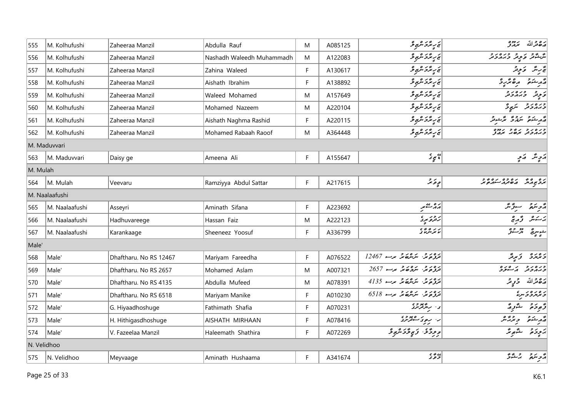| 555         | M. Kolhufushi  | Zaheeraa Manzil        | Abdulla Rauf              | M  | A085125 | ئەربە ئەئەھرى                        | برەقراللە بردوم<br>مەھىراللە بىر <i>م</i> و |
|-------------|----------------|------------------------|---------------------------|----|---------|--------------------------------------|---------------------------------------------|
| 556         | M. Kolhufushi  | Zaheeraa Manzil        | Nashadh Waleedh Muhammadh | M  | A122083 | ئ <sub>ە</sub> پەئەد ئىبى بۇ         | ش المستحقر المحركة وبراه والمحرار والمستحضر |
| 557         | M. Kolhufushi  | Zaheeraa Manzil        | Zahina Waleed             | F. | A130617 | ئ <sub>ە</sub> پەئىر ئىرىمو پىر      | ڭرىگ قۇچۇ                                   |
| 558         | M. Kolhufushi  | Zaheeraa Manzil        | Aishath Ibrahim           | F. | A138892 | ئەر ئەز ئىر ئىر ئى                   | و مشهور و هنگرد                             |
| 559         | M. Kolhufushi  | Zaheeraa Manzil        | Waleed Mohamed            | M  | A157649 | ئ <sub>ەس</sub> ېئەد ئىبى قە         | وكمحيض وبرورد                               |
| 560         | M. Kolhufushi  | Zaheeraa Manzil        | Mohamed Nazeem            | M  | A220104 | ئ <sub>ە</sub> پەئىر ئىرىمو پىر      | ورەرو شھرو                                  |
| 561         | M. Kolhufushi  | Zaheeraa Manzil        | Aishath Naghma Rashid     | F  | A220115 | ئەربە ئەئەھرى                        | و المسلم و المردوح المرشوقر                 |
| 562         | M. Kolhufushi  | Zaheeraa Manzil        | Mohamed Rabaah Raoof      | M  | A364448 | ئ <sub>ە</sub> ر ئەئزە ئىرىد         | כנסנכ נשב נחסם<br>בגהכת הפה ההנ             |
|             | M. Maduvvari   |                        |                           |    |         |                                      |                                             |
| 563         | M. Maduvvari   | Daisy ge               | Ameena Ali                | F  | A155647 | ۽ سمج تر                             | أرَدٍ مَنْ أَرْمَزِ                         |
| M. Mulah    |                |                        |                           |    |         |                                      |                                             |
| 564         | M. Mulah       | Veevaru                | Ramziyya Abdul Sattar     | F  | A217615 | حو حر حر                             | נם סמ נפכם נסמד                             |
|             | M. Naalaafushi |                        |                           |    |         |                                      |                                             |
| 565         | M. Naalaafushi | Asseyri                | Aminath Sifana            | F  | A223692 | لئەۋرىئىمىر                          | قرىرىقى سۆتىگە<br>مەسىر قەرىج               |
| 566         | M. Naalaafushi | Hadhuvareege           | Hassan Faiz               | M  | A222123 | ر ور<br>رتده مړي                     |                                             |
| 567         | M. Naalaafushi | Karankaage             | Sheeneez Yoosuf           | F  | A336799 | ر رەپە ي<br>ئابىر بىرىزى             | ے سرچ درجو<br>خوشرچ افراد                   |
| Male'       |                |                        |                           |    |         |                                      |                                             |
| 568         | Male'          | Dhaftharu. No RS 12467 | Mariyam Fareedha          | F. | A076522 | تروپر س سرگھ پر - 12467              | د ه ره و مړينگر                             |
| 569         | Male'          | Dhaftharu. No RS 2657  | Mohamed Aslam             | M  | A007321 | $2657$ سروم پر سرچ صلی سر سه         | ورەر د رەرە<br>وبرەرىر كەسىر                |
| 570         | Male'          | Dhaftharu. No RS 4135  | Abdulla Mufeed            | M  | A078391 | ىرە بەش. سەھقەتمە بىر سە 4135        | أرجع فرالله وريد                            |
| 571         | Male'          | Dhaftharu. No RS 6518  | Mariyam Manike            | F. | A010230 | $6518$ مرکز مرکز مرکز مرکز ک         | ر ەرەر يېرىكى                               |
| 572         | Male'          | G. Hiyaadhoshuge       | Fathimath Shafia          | F. | A070231 | ء - رنگوری<br>ع - رنگورگری           | ژُودَهُ ځُږړٌ                               |
| 573         | Male'          | H. Hithigasdhoshuge    | AISHATH MIRHAAN           | F  | A078416 | ر . ره د مود و ،<br>ر . ره د سوتربرد | ومرشكم ويروها                               |
| 574         | Male'          | V. Fazeelaa Manzil     | Haleemath Shathira        | F. | A072269 | ورۇپ زېږۇدىمبر                       | رَ پِرِ دَ پِر مِنَ پِر ک                   |
| N. Velidhoo |                |                        |                           |    |         |                                      |                                             |
| 575         | N. Velidhoo    | Meyvaage               | Aminath Hushaama          | F. | A341674 | ړے پر بر<br>خرجو ت                   | أأوسكة الأحدقة                              |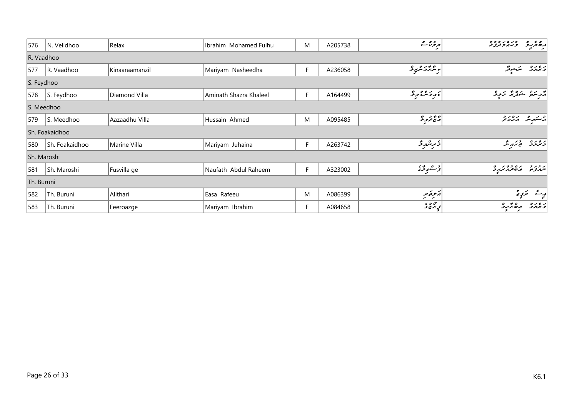| 576         | N. Velidhoo    | Relax          | Ibrahim Mohamed Fulhu  | M  | A205738 | برېژ مړ                                      | و ر ه ر و و و<br>تر بر بر ترو نر  | پرځ پر ژ                      |
|-------------|----------------|----------------|------------------------|----|---------|----------------------------------------------|-----------------------------------|-------------------------------|
| R. Vaadhoo  |                |                |                        |    |         |                                              |                                   |                               |
| 577         | R. Vaadhoo     | Kinaaraamanzil | Mariyam Nasheedha      | F. | A236058 | ، ئەنگە ئەسىم ب <sup>ى</sup> ر               | سكرسفيوقر                         | ئە ئەرە                       |
| S. Feydhoo  |                |                |                        |    |         |                                              |                                   |                               |
| 578         | S. Feydhoo     | Diamond Villa  | Aminath Shazra Khaleel | F. | A164499 | ، ئەر ئەھمى ئۇ                               | أأدوسكم المشتور كالموفى           |                               |
|             | S. Meedhoo     |                |                        |    |         |                                              |                                   |                               |
| 579         | S. Meedhoo     | Aazaadhu Villa | Hussain Ahmed          | M  | A095485 | پر پچ تئرہ گر                                |                                   | بر کشمه شد می برد و در و      |
|             | Sh. Foakaidhoo |                |                        |    |         |                                              |                                   |                               |
| 580         | Sh. Foakaidhoo | Marine Villa   | Mariyam Juhaina        | F  | A263742 | ڈىرىثرمرقر                                   | قى <i>شەھ</i> رىتىگە              | ر ه ر ه<br><del>و</del> بربرو |
| Sh. Maroshi |                |                |                        |    |         |                                              |                                   |                               |
| 581         | Sh. Maroshi    | Fusvilla ge    | Naufath Abdul Raheem   | F. | A323002 | د و ه و د ،                                  | ניני נסיפונים.<br>מתנים השנה בניב |                               |
| Th. Buruni  |                |                |                        |    |         |                                              |                                   |                               |
| 582         | Th. Buruni     | Alithari       | Easa Rafeeu            | M  | A086399 | لأحره تبر                                    |                                   | ۾ پُ سُمَدِ ۾                 |
| 583         | Th. Buruni     | Feeroazge      | Mariyam Ibrahim        | F  | A084658 | ر ص ه ء<br>پ <sub>و</sub> تر بح <sub>ک</sub> | フンメめハ                             | ر ه ر ه<br><del>ر</del> بربرو |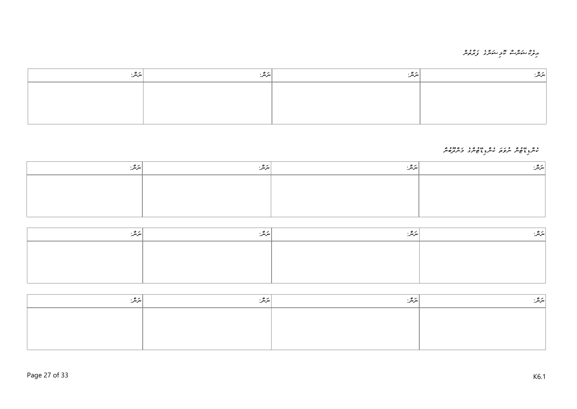## *w7qAn8m? sCw7mRo>u; wEw7mRw;sBo<*

| ' مرمر | 'يئرىثر: |
|--------|----------|
|        |          |
|        |          |
|        |          |

## *w7q9r@w7m> sCw7qHtFoFw7s; mAm=q7 w7qHtFoFw7s;*

| ىر تە | $\mathcal{O} \times$<br>$\sim$ | $\sim$<br>. . | لترنثر |
|-------|--------------------------------|---------------|--------|
|       |                                |               |        |
|       |                                |               |        |
|       |                                |               |        |

| يره | $^{\circ}$ | $\frac{2}{n}$ | $^{\circ}$<br>سرسر. |
|-----|------------|---------------|---------------------|
|     |            |               |                     |
|     |            |               |                     |
|     |            |               |                     |

| ىرتىر: | 。<br>سر سر | .,<br>مرسر |
|--------|------------|------------|
|        |            |            |
|        |            |            |
|        |            |            |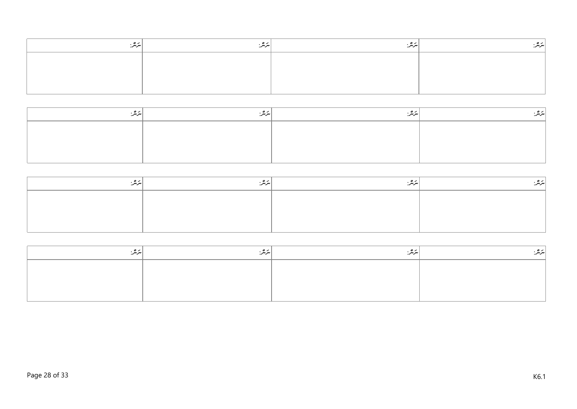| يره. | ο. | ا ير ه |  |
|------|----|--------|--|
|      |    |        |  |
|      |    |        |  |
|      |    |        |  |

| <sup>.</sup> سرسر. |  |
|--------------------|--|
|                    |  |
|                    |  |
|                    |  |

| ىئرىتر. | $\sim$ | ا بر هه. | لىرىش |
|---------|--------|----------|-------|
|         |        |          |       |
|         |        |          |       |
|         |        |          |       |

| 。<br>مرس. | $\overline{\phantom{a}}$<br>مر مىر | يتريثر |
|-----------|------------------------------------|--------|
|           |                                    |        |
|           |                                    |        |
|           |                                    |        |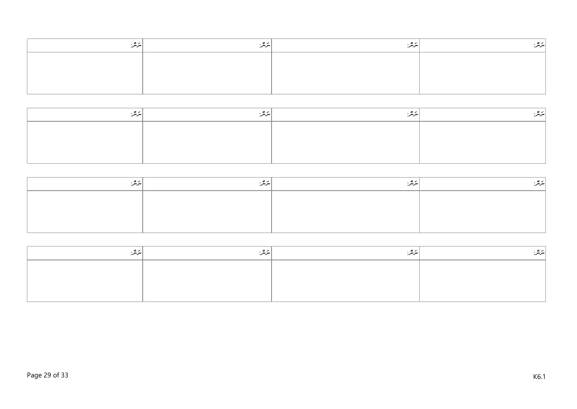| ير هو . | $\overline{\phantom{a}}$ | يرمر | اير هنه. |
|---------|--------------------------|------|----------|
|         |                          |      |          |
|         |                          |      |          |
|         |                          |      |          |

| ىر تىر: | $\circ$ $\sim$<br>" سرسر . | يبرحه | o . |
|---------|----------------------------|-------|-----|
|         |                            |       |     |
|         |                            |       |     |
|         |                            |       |     |

| الترنثر: | ' مرتكز: | الترنثر: | .,<br>سرسر. |
|----------|----------|----------|-------------|
|          |          |          |             |
|          |          |          |             |
|          |          |          |             |

|  | . ه |
|--|-----|
|  |     |
|  |     |
|  |     |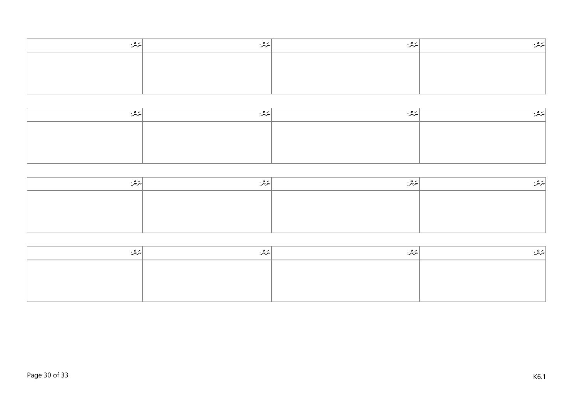| ير هو . | $\overline{\phantom{a}}$ | يرمر | اير هنه. |
|---------|--------------------------|------|----------|
|         |                          |      |          |
|         |                          |      |          |
|         |                          |      |          |

| ئىرتىر: | $\sim$<br>ا سرسر . | يئرمثر | o . |
|---------|--------------------|--------|-----|
|         |                    |        |     |
|         |                    |        |     |
|         |                    |        |     |

| 'تترنثر: | ر ه |  |
|----------|-----|--|
|          |     |  |
|          |     |  |
|          |     |  |

|  | . ه |
|--|-----|
|  |     |
|  |     |
|  |     |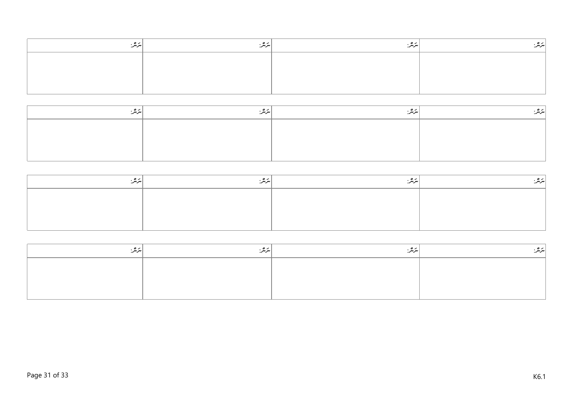| $\frac{\circ}{\cdot}$ | 。 | $\frac{\circ}{\cdot}$ | $\sim$<br>سرسر |
|-----------------------|---|-----------------------|----------------|
|                       |   |                       |                |
|                       |   |                       |                |
|                       |   |                       |                |

| ترتثر: | َ سرسر. |  |
|--------|---------|--|
|        |         |  |
|        |         |  |
|        |         |  |

| بر ه | . ه | $\sim$<br>سرسر |  |
|------|-----|----------------|--|
|      |     |                |  |
|      |     |                |  |
|      |     |                |  |

| 。<br>. س | ىرىىر |  |
|----------|-------|--|
|          |       |  |
|          |       |  |
|          |       |  |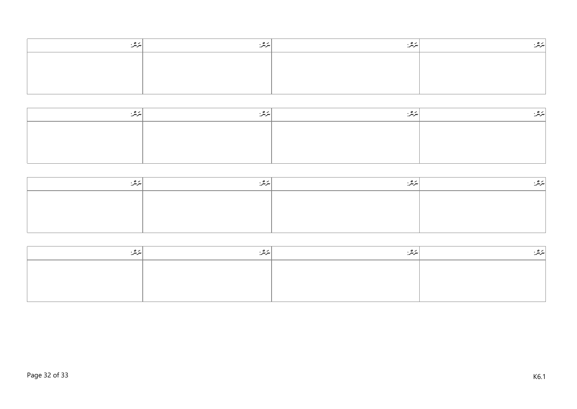| ير هو . | $\overline{\phantom{a}}$ | يرمر | اير هنه. |
|---------|--------------------------|------|----------|
|         |                          |      |          |
|         |                          |      |          |
|         |                          |      |          |

| ئىرتىر: | $\sim$<br>ا سرسر . | يئرمثر | o . |
|---------|--------------------|--------|-----|
|         |                    |        |     |
|         |                    |        |     |
|         |                    |        |     |

| 'تترنثر: | 。<br>,,,, |  |
|----------|-----------|--|
|          |           |  |
|          |           |  |
|          |           |  |

|  | . ه |
|--|-----|
|  |     |
|  |     |
|  |     |